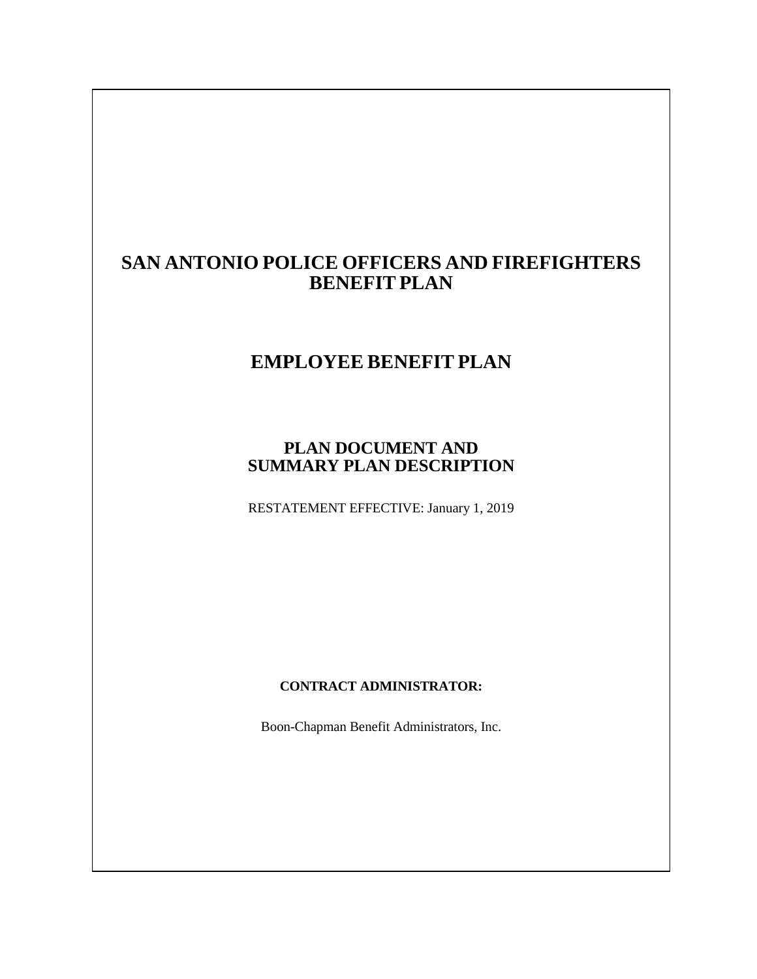# **SAN ANTONIO POLICE OFFICERS AND FIREFIGHTERS BENEFIT PLAN**

# **EMPLOYEE BENEFIT PLAN**

# **PLAN DOCUMENT AND SUMMARY PLAN DESCRIPTION**

RESTATEMENT EFFECTIVE: January 1, 2019

## **CONTRACT ADMINISTRATOR:**

Boon-Chapman Benefit Administrators, Inc.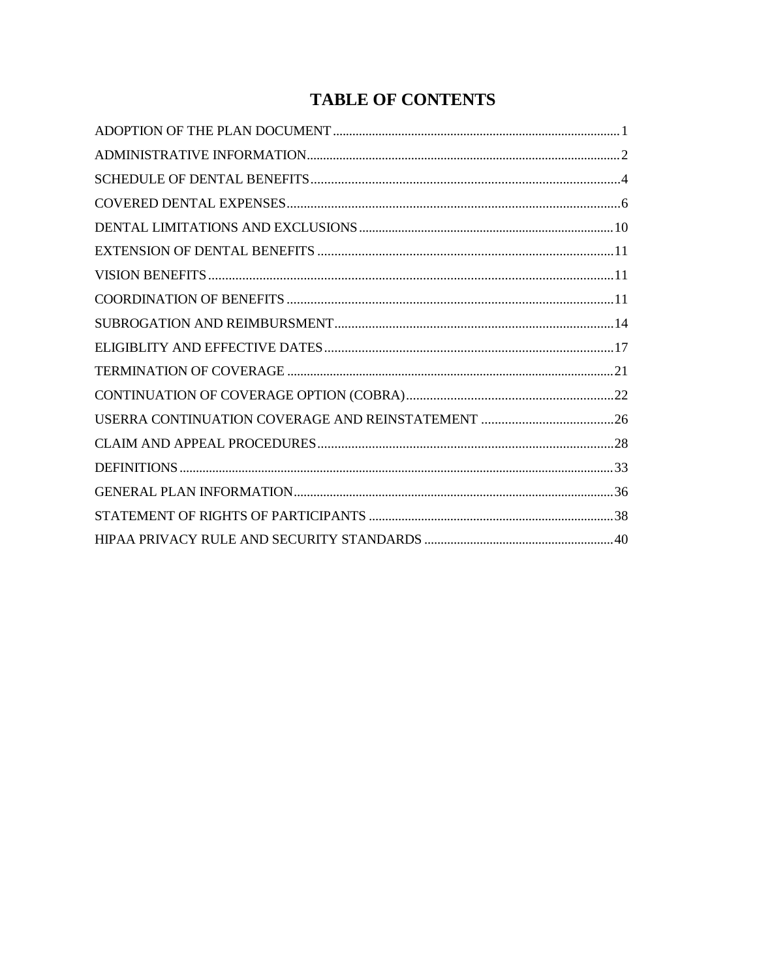# **TABLE OF CONTENTS**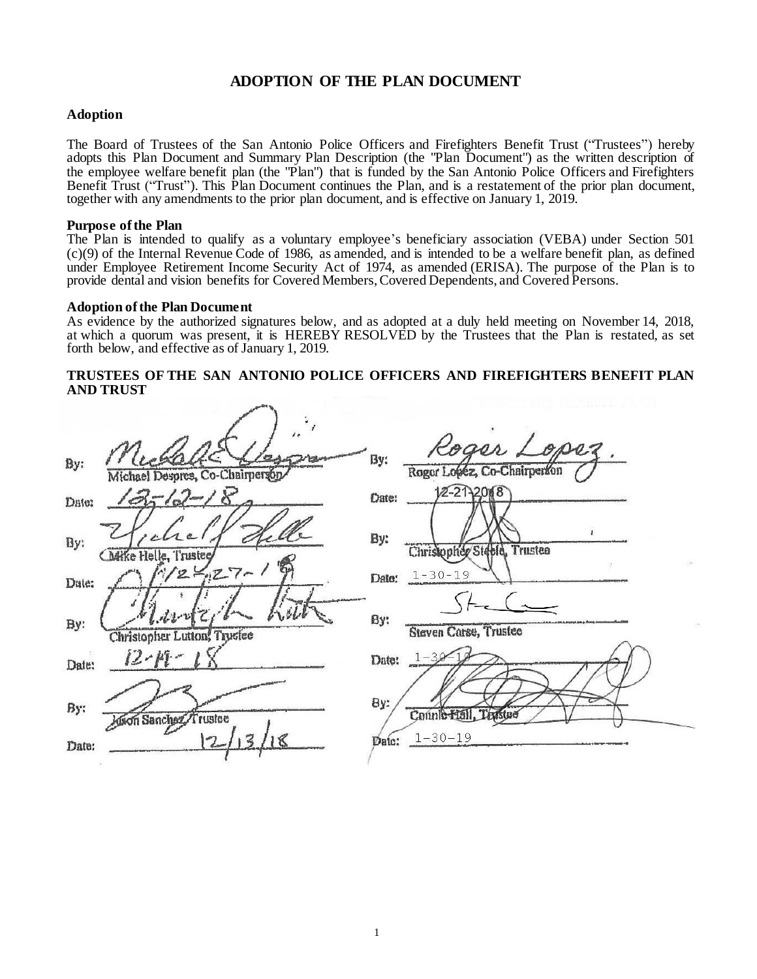## **ADOPTION OF THE PLAN DOCUMENT**

## **Adoption**

The Board of Trustees of the San Antonio Police Officers and Firefighters Benefit Trust ("Trustees") hereby adopts this Plan Document and Summary Plan Description (the "Plan Document") as the written description of the employee welfare benefit plan (the "Plan") that is funded by the San Antonio Police Officers and Firefighters Benefit Trust ("Trust"). This Plan Document continues the Plan, and is a restatement of the prior plan document, together with any amendments to the prior plan document, and is effective on January 1, 2019.

## **Purpose ofthe Plan**

The Plan is intended to qualify as a voluntary employee's beneficiary association (VEBA) under Section 501 (c)(9) of the Internal Revenue Code of 1986, as amended, and is intended to be a welfare benefit plan, as defined under Employee Retirement Income Security Act of 1974, as amended (ERISA). The purpose of the Plan is to provide dental and vision benefits for Covered Members, Covered Dependents, and Covered Persons.

## **Adoption ofthe Plan Document**

As evidence by the authorized signatures below, and as adopted at a duly held meeting on November 14, 2018, at which a quorum was present, it is HEREBY RESOLVED by the Trustees that the Plan is restated, as set forth below, and effective as of January 1, 2019.

## **TRUSTEES OF THE SAN ANTONIO POLICE OFFICERS AND FIREFIGHTERS BENEFIT PLAN AND TRUST**

| By:   | ,,<br>Michal<br>Michael Despres, Co-Chairperson | By:           | Roger Lopez.                 |
|-------|-------------------------------------------------|---------------|------------------------------|
| Date: | $3 - 12 - 18$                                   | <b>Chate:</b> | $12 - 212008$                |
| By:   | <b>Charke Helle</b> , Trustee                   | By:           | Christopher Steele, Trustee  |
| Date: | $1/2 - 27 - 1$                                  | Date:         | $1 - 30 - 19$                |
| By:   | Christopher Lutton, Trustee                     | By:           | Steven Carse, Trustee        |
| Date: | $12 - 14 - 1$                                   | Date:         | $1 - 30 - 18$                |
| By:   | dion Sanchez Trustee                            | By:<br>Date:  | Counterfull<br>$1 - 30 - 19$ |
| Date: |                                                 |               |                              |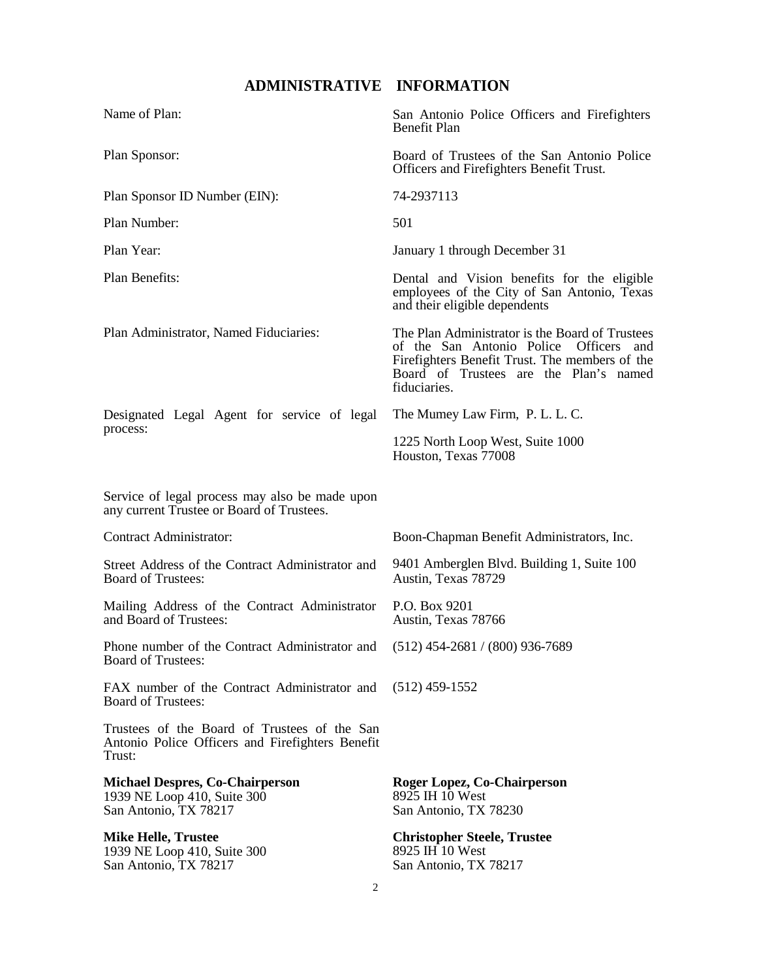# **ADMINISTRATIVE INFORMATION**

<span id="page-3-0"></span>

| Name of Plan:                                                                                               | San Antonio Police Officers and Firefighters<br><b>Benefit Plan</b>                                                                                                                                                |
|-------------------------------------------------------------------------------------------------------------|--------------------------------------------------------------------------------------------------------------------------------------------------------------------------------------------------------------------|
| Plan Sponsor:                                                                                               | Board of Trustees of the San Antonio Police<br>Officers and Firefighters Benefit Trust.                                                                                                                            |
| Plan Sponsor ID Number (EIN):                                                                               | 74-2937113                                                                                                                                                                                                         |
| Plan Number:                                                                                                | 501                                                                                                                                                                                                                |
| Plan Year:                                                                                                  | January 1 through December 31                                                                                                                                                                                      |
| Plan Benefits:                                                                                              | Dental and Vision benefits for the eligible<br>employees of the City of San Antonio, Texas<br>and their eligible dependents                                                                                        |
| Plan Administrator, Named Fiduciaries:                                                                      | The Plan Administrator is the Board of Trustees<br>of the San Antonio Police<br><b>Officers</b><br>and<br>Firefighters Benefit Trust. The members of the<br>Board of Trustees are the Plan's named<br>fiduciaries. |
| Designated Legal Agent for service of legal                                                                 | The Mumey Law Firm, P. L. L. C.                                                                                                                                                                                    |
| process:                                                                                                    | 1225 North Loop West, Suite 1000<br>Houston, Texas 77008                                                                                                                                                           |
| Service of legal process may also be made upon<br>any current Trustee or Board of Trustees.                 |                                                                                                                                                                                                                    |
| Contract Administrator:                                                                                     | Boon-Chapman Benefit Administrators, Inc.                                                                                                                                                                          |
| Street Address of the Contract Administrator and<br><b>Board of Trustees:</b>                               | 9401 Amberglen Blvd. Building 1, Suite 100<br>Austin, Texas 78729                                                                                                                                                  |
| Mailing Address of the Contract Administrator<br>and Board of Trustees:                                     | P.O. Box 9201<br>Austin, Texas 78766                                                                                                                                                                               |
| Phone number of the Contract Administrator and (512) 454-2681 / (800) 936-7689<br><b>Board of Trustees:</b> |                                                                                                                                                                                                                    |
| FAX number of the Contract Administrator and<br><b>Board of Trustees:</b>                                   | $(512)$ 459-1552                                                                                                                                                                                                   |
| Trustees of the Board of Trustees of the San<br>Antonio Police Officers and Firefighters Benefit<br>Trust:  |                                                                                                                                                                                                                    |
| <b>Michael Despres, Co-Chairperson</b><br>1939 NE Loop 410, Suite 300<br>San Antonio, TX 78217              | Roger Lopez, Co-Chairperson<br>8925 IH 10 West<br>San Antonio, TX 78230                                                                                                                                            |
| <b>Mike Helle, Trustee</b><br>1939 NE Loop 410, Suite 300<br>San Antonio, TX 78217                          | <b>Christopher Steele, Trustee</b><br>8925 IH 10 West<br>San Antonio, TX 78217                                                                                                                                     |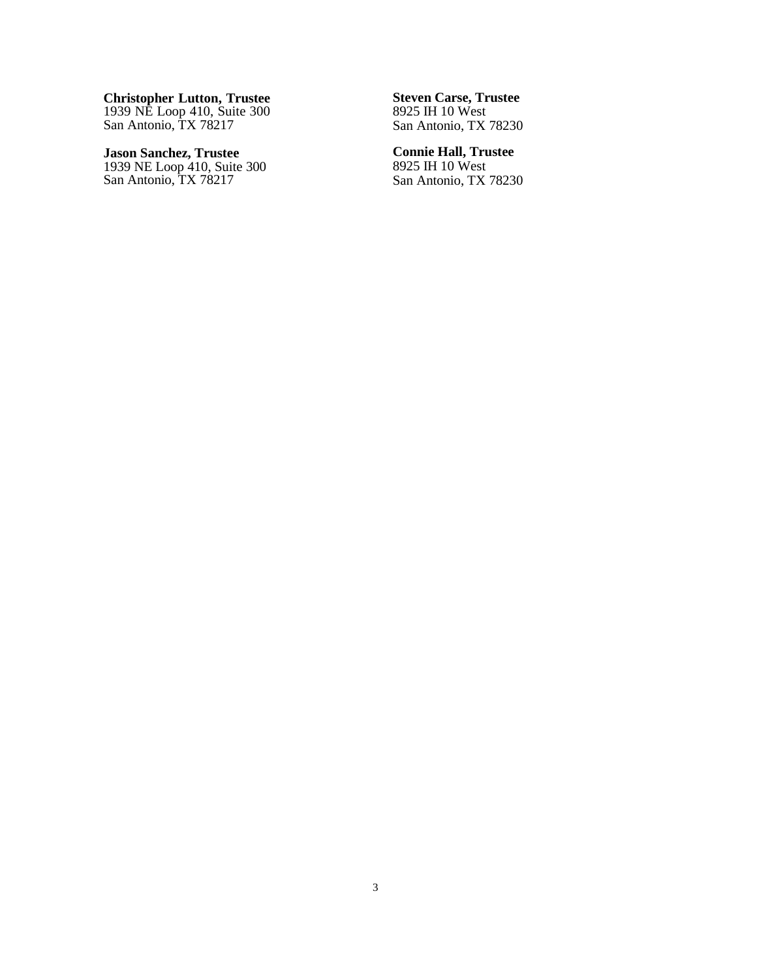**Christopher Lutton, Trustee** 1939 NE Loop 410, Suite 300 San Antonio, TX 78217

**Jason Sanchez, Trustee** 1939 NE Loop 410, Suite 300 San Antonio, TX 78217

**Steven Carse, Trustee** 8925 IH 10 West San Antonio, TX 78230

**Connie Hall, Trustee** 8925 IH 10 West San Antonio, TX 78230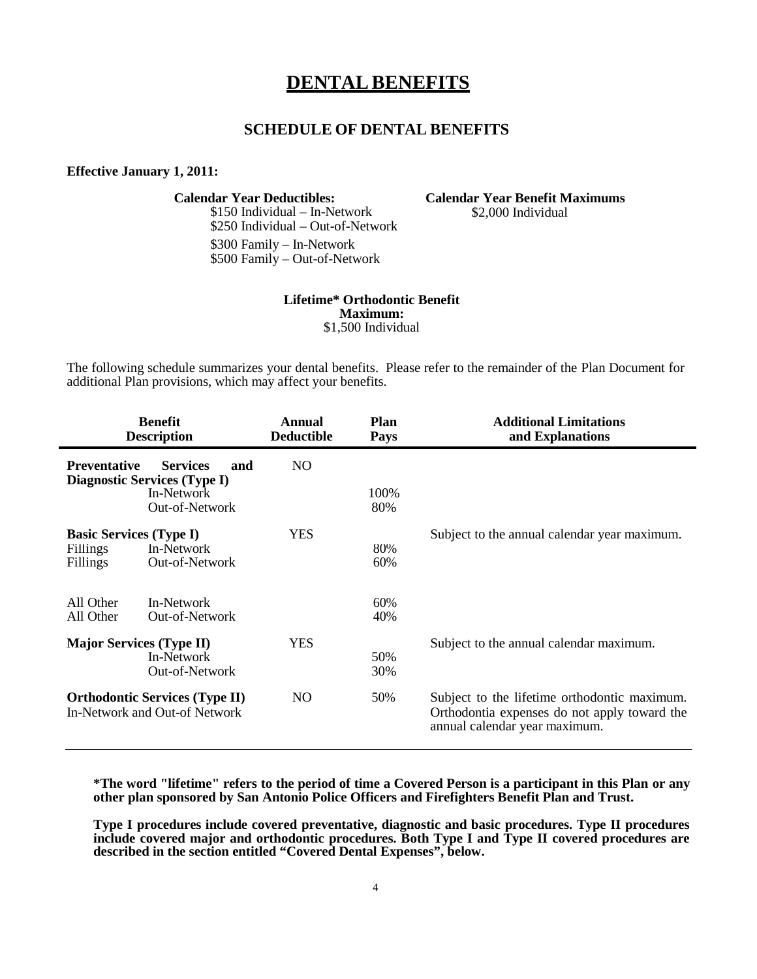# **DENTALBENEFITS**

## **SCHEDULE OF DENTAL BENEFITS**

## <span id="page-5-0"></span>**Effective January 1, 2011:**

\$150 Individual – In-Network \$250 Individual – Out-of-Network \$300 Family – In-Network \$500 Family – Out-of-Network

**Calendar Year Deductibles: Calendar Year Benefit Maximums** \$2,000 Individual

## **Lifetime\* Orthodontic Benefit Maximum:** \$1,500 Individual

The following schedule summarizes your dental benefits. Please refer to the remainder of the Plan Document for additional Plan provisions, which may affect your benefits.

| <b>Benefit</b><br><b>Description</b>                                                    |                                                                                               | Annual<br><b>Deductible</b> | <b>Plan</b><br><b>Pays</b> | <b>Additional Limitations</b><br>and Explanations                                                                             |
|-----------------------------------------------------------------------------------------|-----------------------------------------------------------------------------------------------|-----------------------------|----------------------------|-------------------------------------------------------------------------------------------------------------------------------|
| <b>Preventative</b>                                                                     | <b>Services</b><br>and<br><b>Diagnostic Services (Type I)</b><br>In-Network<br>Out-of-Network | NO.                         | 100%<br>80%                |                                                                                                                               |
| <b>Basic Services (Type I)</b><br><b>Fillings</b><br>Fillings<br>All Other<br>All Other | In-Network<br>Out-of-Network<br>In-Network<br>Out-of-Network                                  | <b>YES</b>                  | 80%<br>60%<br>60%<br>40%   | Subject to the annual calendar year maximum.                                                                                  |
| <b>Major Services (Type II)</b>                                                         | In-Network<br>Out-of-Network                                                                  | <b>YES</b>                  | 50%<br>30%                 | Subject to the annual calendar maximum.                                                                                       |
| <b>Orthodontic Services (Type II)</b><br>In-Network and Out-of Network                  |                                                                                               | NO.                         | 50%                        | Subject to the lifetime orthodontic maximum.<br>Orthodontia expenses do not apply toward the<br>annual calendar year maximum. |

**\*The word "lifetime" refers to the period of time a Covered Person is a participant in this Plan or any other plan sponsored by San Antonio Police Officers and Firefighters Benefit Plan and Trust.**

**Type I procedures include covered preventative, diagnostic and basic procedures. Type II procedures include covered major and orthodontic procedures. Both Type I and Type II covered procedures are described in the section entitled "Covered Dental Expenses", below.**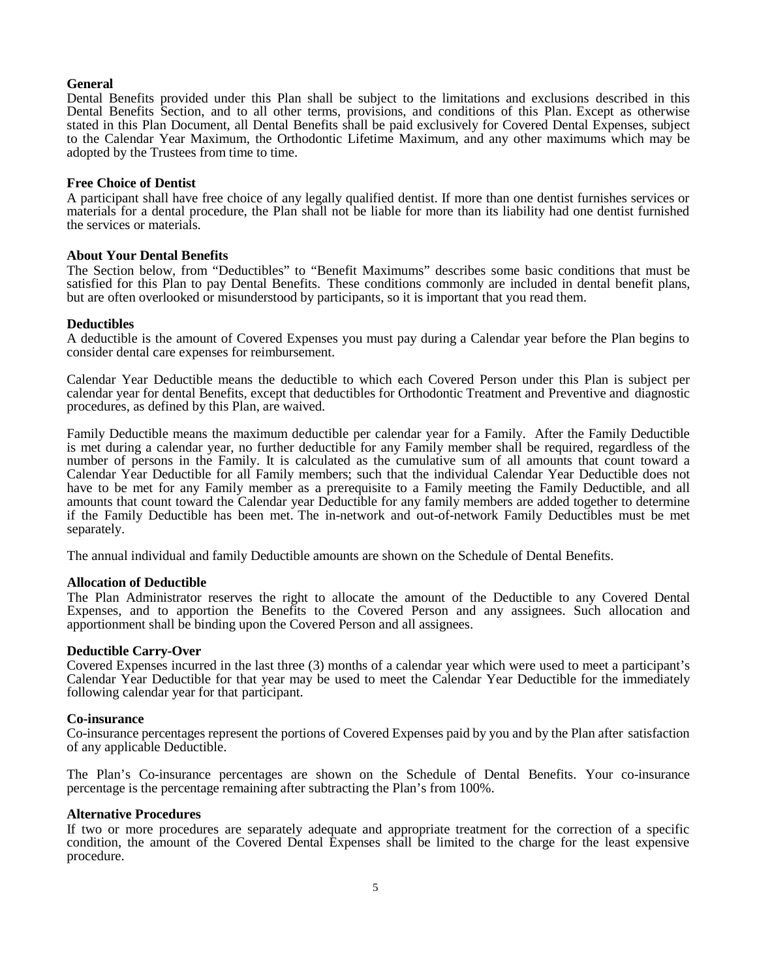## **General**

Dental Benefits provided under this Plan shall be subject to the limitations and exclusions described in this Dental Benefits Section, and to all other terms, provisions, and conditions of this Plan. Except as otherwise stated in this Plan Document, all Dental Benefits shall be paid exclusively for Covered Dental Expenses, subject to the Calendar Year Maximum, the Orthodontic Lifetime Maximum, and any other maximums which may be adopted by the Trustees from time to time.

## **Free Choice of Dentist**

A participant shall have free choice of any legally qualified dentist. If more than one dentist furnishes services or materials for a dental procedure, the Plan shall not be liable for more than its liability had one dentist furnished the services or materials.

#### **About Your Dental Benefits**

The Section below, from "Deductibles" to "Benefit Maximums" describes some basic conditions that must be satisfied for this Plan to pay Dental Benefits. These conditions commonly are included in dental benefit plans, but are often overlooked or misunderstood by participants, so it is important that you read them.

#### **Deductibles**

A deductible is the amount of Covered Expenses you must pay during a Calendar year before the Plan begins to consider dental care expenses for reimbursement.

Calendar Year Deductible means the deductible to which each Covered Person under this Plan is subject per calendar year for dental Benefits, except that deductibles for Orthodontic Treatment and Preventive and diagnostic procedures, as defined by this Plan, are waived.

Family Deductible means the maximum deductible per calendar year for a Family. After the Family Deductible is met during a calendar year, no further deductible for any Family member shall be required, regardless of the number of persons in the Family. It is calculated as the cumulative sum of all amounts that count toward a Calendar Year Deductible for all Family members; such that the individual Calendar Year Deductible does not have to be met for any Family member as a prerequisite to a Family meeting the Family Deductible, and all amounts that count toward the Calendar year Deductible for any family members are added together to determine if the Family Deductible has been met. The in-network and out-of-network Family Deductibles must be met separately.

The annual individual and family Deductible amounts are shown on the Schedule of Dental Benefits.

## **Allocation of Deductible**

The Plan Administrator reserves the right to allocate the amount of the Deductible to any Covered Dental Expenses, and to apportion the Benefits to the Covered Person and any assignees. Such allocation and apportionment shall be binding upon the Covered Person and all assignees.

#### **Deductible Carry-Over**

Covered Expenses incurred in the last three (3) months of a calendar year which were used to meet a participant's Calendar Year Deductible for that year may be used to meet the Calendar Year Deductible for the immediately following calendar year for that participant.

#### **Co-insurance**

Co-insurance percentages represent the portions of Covered Expenses paid by you and by the Plan after satisfaction of any applicable Deductible.

The Plan's Co-insurance percentages are shown on the Schedule of Dental Benefits. Your co-insurance percentage is the percentage remaining after subtracting the Plan's from 100%.

#### **Alternative Procedures**

If two or more procedures are separately adequate and appropriate treatment for the correction of a specific condition, the amount of the Covered Dental Expenses shall be limited to the charge for the least expensive procedure.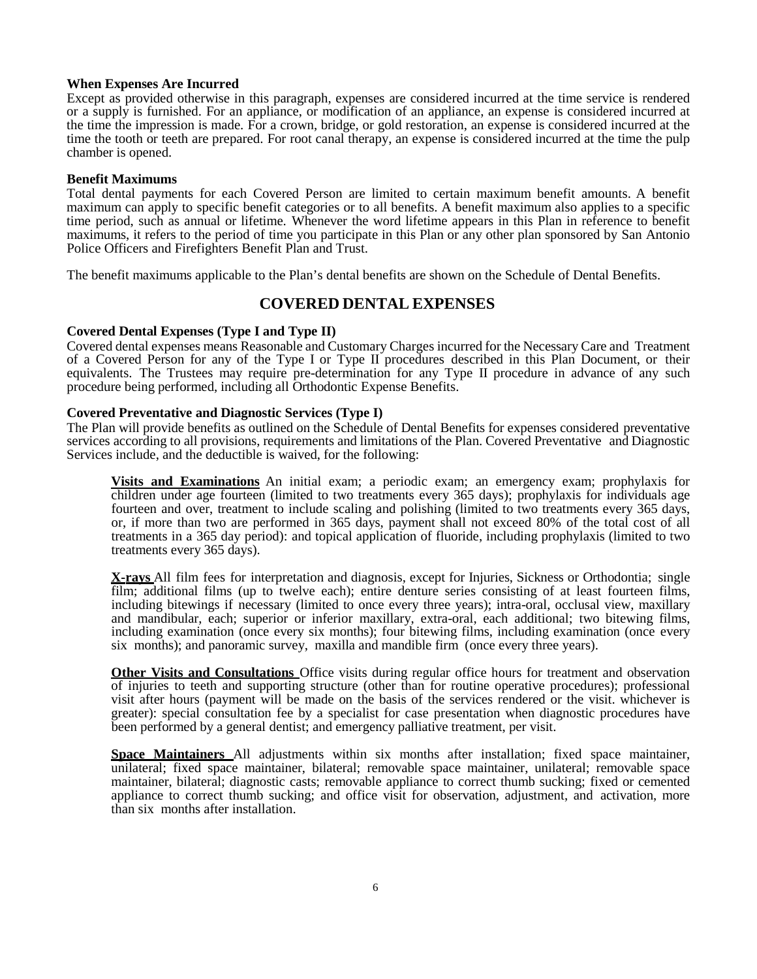## **When Expenses Are Incurred**

Except as provided otherwise in this paragraph, expenses are considered incurred at the time service is rendered or a supply is furnished. For an appliance, or modification of an appliance, an expense is considered incurred at the time the impression is made. For a crown, bridge, or gold restoration, an expense is considered incurred at the time the tooth or teeth are prepared. For root canal therapy, an expense is considered incurred at the time the pulp chamber is opened.

## **Benefit Maximums**

Total dental payments for each Covered Person are limited to certain maximum benefit amounts. A benefit maximum can apply to specific benefit categories or to all benefits. A benefit maximum also applies to a specific time period, such as annual or lifetime. Whenever the word lifetime appears in this Plan in reference to benefit maximums, it refers to the period of time you participate in this Plan or any other plan sponsored by San Antonio Police Officers and Firefighters Benefit Plan and Trust.

<span id="page-7-0"></span>The benefit maximums applicable to the Plan's dental benefits are shown on the Schedule of Dental Benefits.

## **COVERED DENTAL EXPENSES**

## **Covered Dental Expenses (Type I and Type II)**

Covered dental expenses means Reasonable and Customary Charges incurred for the Necessary Care and Treatment of a Covered Person for any of the Type I or Type II procedures described in this Plan Document, or their equivalents. The Trustees may require pre-determination for any Type II procedure in advance of any such procedure being performed, including all Orthodontic Expense Benefits.

## **Covered Preventative and Diagnostic Services (Type I)**

The Plan will provide benefits as outlined on the Schedule of Dental Benefits for expenses considered preventative services according to all provisions, requirements and limitations of the Plan. Covered Preventative and Diagnostic Services include, and the deductible is waived, for the following:

**Visits and Examinations** An initial exam; a periodic exam; an emergency exam; prophylaxis for children under age fourteen (limited to two treatments every 365 days); prophylaxis for individuals age fourteen and over, treatment to include scaling and polishing (limited to two treatments every 365 days, or, if more than two are performed in 365 days, payment shall not exceed 80% of the total cost of all treatments in a 365 day period): and topical application of fluoride, including prophylaxis (limited to two treatments every 365 days).

**X-rays** All film fees for interpretation and diagnosis, except for Injuries, Sickness or Orthodontia; single film; additional films (up to twelve each); entire denture series consisting of at least fourteen films, including bitewings if necessary (limited to once every three years); intra-oral, occlusal view, maxillary and mandibular, each; superior or inferior maxillary, extra-oral, each additional; two bitewing films, including examination (once every six months); four bitewing films, including examination (once every six months); and panoramic survey, maxilla and mandible firm (once every three years).

**Other Visits and Consultations** Office visits during regular office hours for treatment and observation of injuries to teeth and supporting structure (other than for routine operative procedures); professional visit after hours (payment will be made on the basis of the services rendered or the visit. whichever is greater): special consultation fee by a specialist for case presentation when diagnostic procedures have been performed by a general dentist; and emergency palliative treatment, per visit.

**Space Maintainers** All adjustments within six months after installation; fixed space maintainer, unilateral; fixed space maintainer, bilateral; removable space maintainer, unilateral; removable space maintainer, bilateral; diagnostic casts; removable appliance to correct thumb sucking; fixed or cemented appliance to correct thumb sucking; and office visit for observation, adjustment, and activation, more than six months after installation.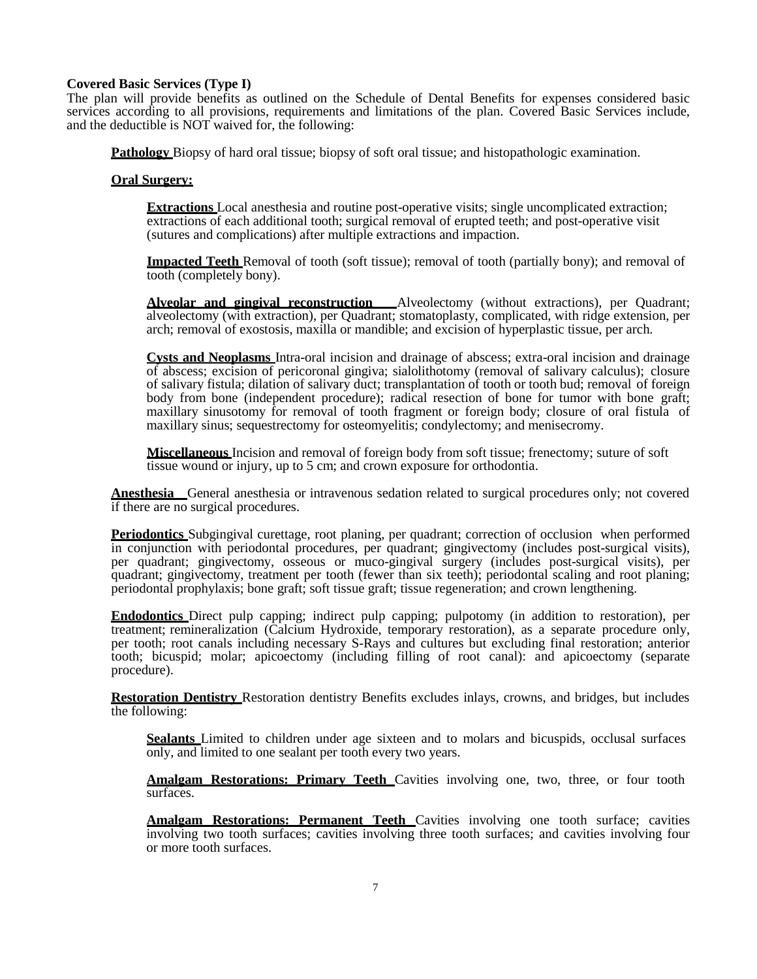## **Covered Basic Services (Type I)**

The plan will provide benefits as outlined on the Schedule of Dental Benefits for expenses considered basic services according to all provisions, requirements and limitations of the plan. Covered Basic Services include, and the deductible is NOT waived for, the following:

**Pathology** Biopsy of hard oral tissue; biopsy of soft oral tissue; and histopathologic examination.

## **Oral Surgery:**

**Extractions** Local anesthesia and routine post-operative visits; single uncomplicated extraction; extractions of each additional tooth; surgical removal of erupted teeth; and post-operative visit (sutures and complications) after multiple extractions and impaction.

**Impacted Teeth** Removal of tooth (soft tissue); removal of tooth (partially bony); and removal of tooth (completely bony).

**Alveolar and gingival reconstruction** Alveolectomy (without extractions), per Quadrant; alveolectomy (with extraction), per Quadrant; stomatoplasty, complicated, with ridge extension, per arch; removal of exostosis, maxilla or mandible; and excision of hyperplastic tissue, per arch.

**Cysts and Neoplasms** Intra-oral incision and drainage of abscess; extra-oral incision and drainage of abscess; excision of pericoronal gingiva; sialolithotomy (removal of salivary calculus); closure of salivary fistula; dilation of salivary duct; transplantation of tooth or tooth bud; removal of foreign body from bone (independent procedure); radical resection of bone for tumor with bone graft; maxillary sinusotomy for removal of tooth fragment or foreign body; closure of oral fistula of maxillary sinus; sequestrectomy for osteomyelitis; condylectomy; and menisecromy.

**Miscellaneous** Incision and removal of foreign body from soft tissue; frenectomy; suture of soft tissue wound or injury, up to 5 cm; and crown exposure for orthodontia.

**Anesthesia** General anesthesia or intravenous sedation related to surgical procedures only; not covered if there are no surgical procedures.

**Periodontics** Subgingival curettage, root planing, per quadrant; correction of occlusion when performed in conjunction with periodontal procedures, per quadrant; gingivectomy (includes post-surgical visits), per quadrant; gingivectomy, osseous or muco-gingival surgery (includes post-surgical visits), per quadrant; gingivectomy, treatment per tooth (fewer than six teeth); periodontal scaling and root planing; periodontal prophylaxis; bone graft; soft tissue graft; tissue regeneration; and crown lengthening.

**Endodontics** Direct pulp capping; indirect pulp capping; pulpotomy (in addition to restoration), per treatment; remineralization (Calcium Hydroxide, temporary restoration), as a separate procedure only, per tooth; root canals including necessary S-Rays and cultures but excluding final restoration; anterior tooth; bicuspid; molar; apicoectomy (including filling of root canal): and apicoectomy (separate procedure).

**Restoration Dentistry** Restoration dentistry Benefits excludes inlays, crowns, and bridges, but includes the following:

Sealants Limited to children under age sixteen and to molars and bicuspids, occlusal surfaces only, and limited to one sealant per tooth every two years.

**Amalgam Restorations: Primary Teeth** Cavities involving one, two, three, or four tooth surfaces.

**Amalgam Restorations: Permanent Teeth** Cavities involving one tooth surface; cavities involving two tooth surfaces; cavities involving three tooth surfaces; and cavities involving four or more tooth surfaces.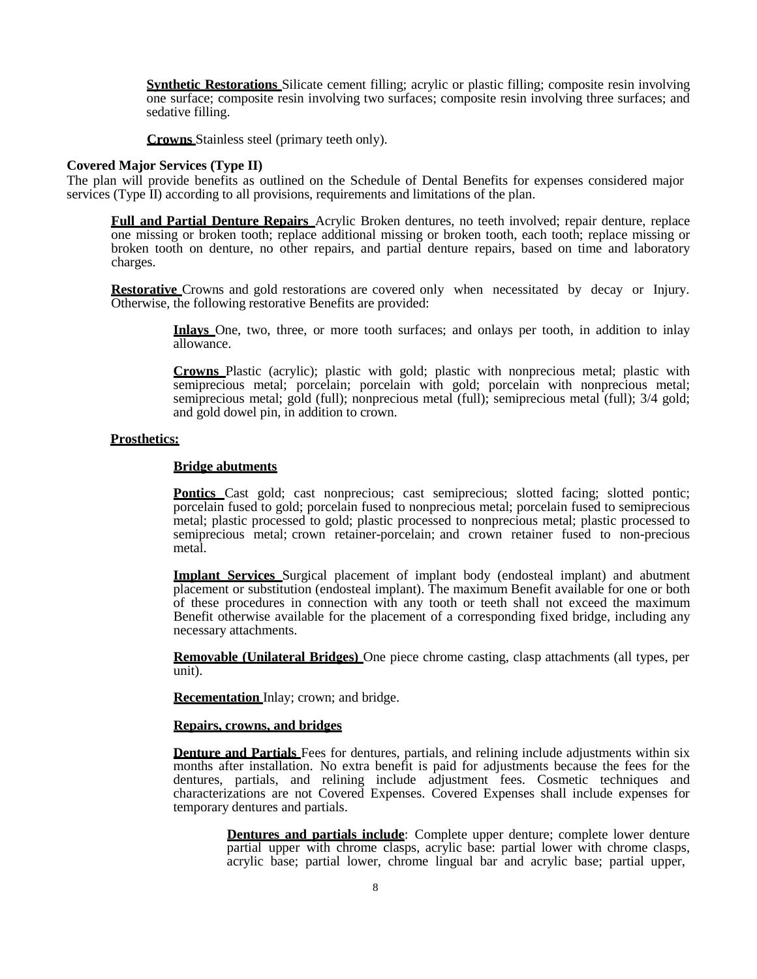**Synthetic Restorations** Silicate cement filling; acrylic or plastic filling; composite resin involving one surface; composite resin involving two surfaces; composite resin involving three surfaces; and sedative filling.

**Crowns** Stainless steel (primary teeth only).

#### **Covered Major Services (Type II)**

The plan will provide benefits as outlined on the Schedule of Dental Benefits for expenses considered major services (Type II) according to all provisions, requirements and limitations of the plan.

**Full and Partial Denture Repairs** Acrylic Broken dentures, no teeth involved; repair denture, replace one missing or broken tooth; replace additional missing or broken tooth, each tooth; replace missing or broken tooth on denture, no other repairs, and partial denture repairs, based on time and laboratory charges.

**Restorative** Crowns and gold restorations are covered only when necessitated by decay or Injury. Otherwise, the following restorative Benefits are provided:

> **Inlays** One, two, three, or more tooth surfaces; and onlays per tooth, in addition to inlay allowance.

> **Crowns** Plastic (acrylic); plastic with gold; plastic with nonprecious metal; plastic with semiprecious metal; porcelain; porcelain with gold; porcelain with nonprecious metal; semiprecious metal; gold (full); nonprecious metal (full); semiprecious metal (full); 3/4 gold; and gold dowel pin, in addition to crown.

#### **Prosthetics:**

#### **Bridge abutments**

**Pontics** Cast gold; cast nonprecious; cast semiprecious; slotted facing; slotted pontic; porcelain fused to gold; porcelain fused to nonprecious metal; porcelain fused to semiprecious metal; plastic processed to gold; plastic processed to nonprecious metal; plastic processed to semiprecious metal; crown retainer-porcelain; and crown retainer fused to non-precious metal.

**Implant Services** Surgical placement of implant body (endosteal implant) and abutment placement or substitution (endosteal implant). The maximum Benefit available for one or both of these procedures in connection with any tooth or teeth shall not exceed the maximum Benefit otherwise available for the placement of a corresponding fixed bridge, including any necessary attachments.

**Removable (Unilateral Bridges)** One piece chrome casting, clasp attachments (all types, per unit).

**Recementation** Inlay; crown; and bridge.

#### **Repairs, crowns, and bridges**

**Denture and Partials** Fees for dentures, partials, and relining include adjustments within six months after installation. No extra benefit is paid for adjustments because the fees for the dentures, partials, and relining include adjustment fees. Cosmetic techniques and characterizations are not Covered Expenses. Covered Expenses shall include expenses for temporary dentures and partials.

> **Dentures and partials include**: Complete upper denture; complete lower denture partial upper with chrome clasps, acrylic base: partial lower with chrome clasps, acrylic base; partial lower, chrome lingual bar and acrylic base; partial upper,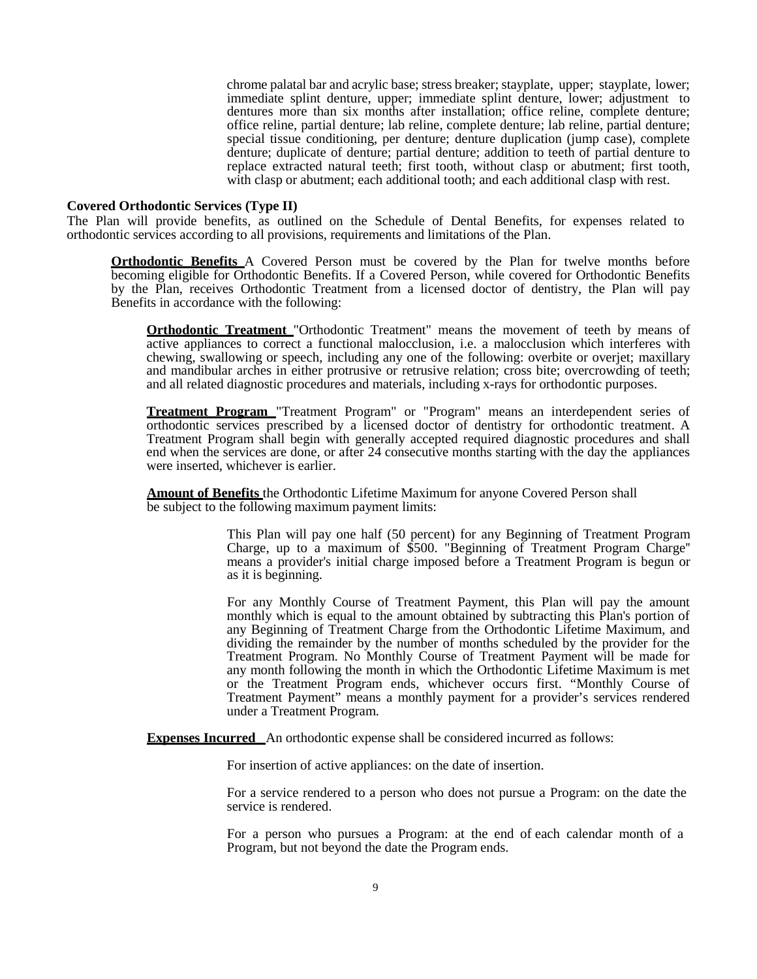chrome palatal bar and acrylic base; stress breaker; stayplate, upper; stayplate, lower; immediate splint denture, upper; immediate splint denture, lower; adjustment to dentures more than six months after installation; office reline, complete denture; office reline, partial denture; lab reline, complete denture; lab reline, partial denture; special tissue conditioning, per denture; denture duplication (jump case), complete denture; duplicate of denture; partial denture; addition to teeth of partial denture to replace extracted natural teeth; first tooth, without clasp or abutment; first tooth, with clasp or abutment; each additional tooth; and each additional clasp with rest.

#### **Covered Orthodontic Services (Type II)**

The Plan will provide benefits, as outlined on the Schedule of Dental Benefits, for expenses related to orthodontic services according to all provisions, requirements and limitations of the Plan.

**Orthodontic Benefits** A Covered Person must be covered by the Plan for twelve months before becoming eligible for Orthodontic Benefits. If a Covered Person, while covered for Orthodontic Benefits by the Plan, receives Orthodontic Treatment from a licensed doctor of dentistry, the Plan will pay Benefits in accordance with the following:

**Orthodontic Treatment** "Orthodontic Treatment" means the movement of teeth by means of active appliances to correct a functional malocclusion, i.e. a malocclusion which interferes with chewing, swallowing or speech, including any one of the following: overbite or overjet; maxillary and mandibular arches in either protrusive or retrusive relation; cross bite; overcrowding of teeth; and all related diagnostic procedures and materials, including x-rays for orthodontic purposes.

**Treatment Program** "Treatment Program" or "Program" means an interdependent series of orthodontic services prescribed by a licensed doctor of dentistry for orthodontic treatment. A Treatment Program shall begin with generally accepted required diagnostic procedures and shall end when the services are done, or after 24 consecutive months starting with the day the appliances were inserted, whichever is earlier.

**Amount of Benefits** the Orthodontic Lifetime Maximum for anyone Covered Person shall be subject to the following maximum payment limits:

> This Plan will pay one half (50 percent) for any Beginning of Treatment Program Charge, up to a maximum of \$500. "Beginning of Treatment Program Charge'' means a provider's initial charge imposed before a Treatment Program is begun or as it is beginning.

> For any Monthly Course of Treatment Payment, this Plan will pay the amount monthly which is equal to the amount obtained by subtracting this Plan's portion of any Beginning of Treatment Charge from the Orthodontic Lifetime Maximum, and dividing the remainder by the number of months scheduled by the provider for the Treatment Program. No Monthly Course of Treatment Payment will be made for any month following the month in which the Orthodontic Lifetime Maximum is met or the Treatment Program ends, whichever occurs first. "Monthly Course of Treatment Payment" means a monthly payment for a provider's services rendered under a Treatment Program.

**Expenses Incurred** An orthodontic expense shall be considered incurred as follows:

For insertion of active appliances: on the date of insertion.

For a service rendered to a person who does not pursue a Program: on the date the service is rendered.

For a person who pursues a Program: at the end of each calendar month of a Program, but not beyond the date the Program ends.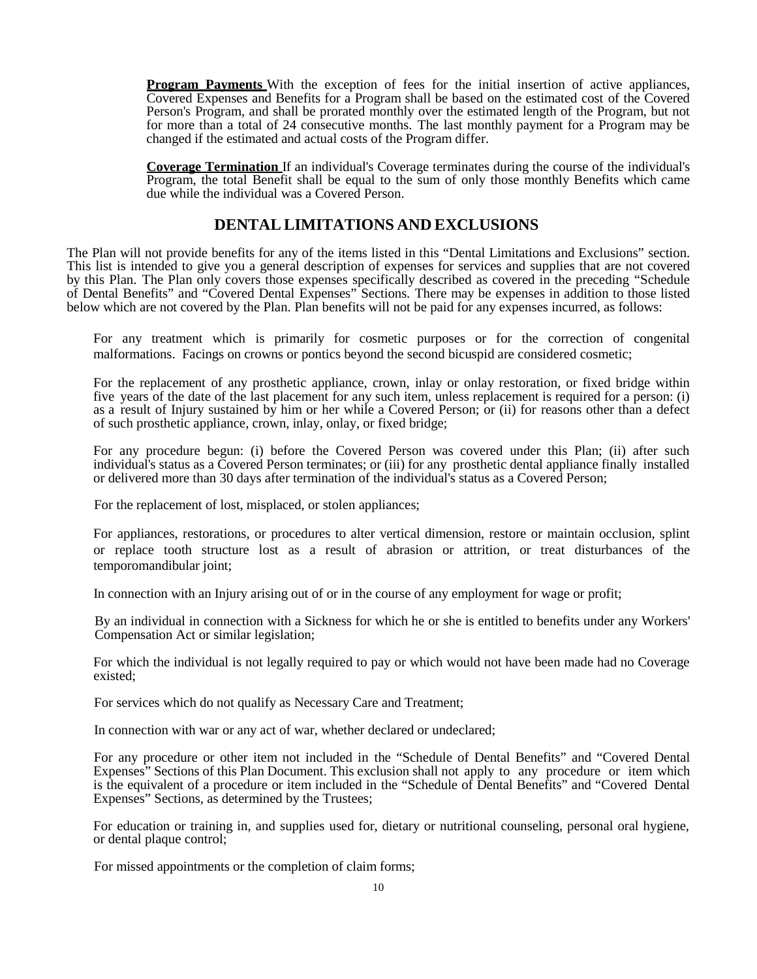**Program Payments** With the exception of fees for the initial insertion of active appliances, Covered Expenses and Benefits for a Program shall be based on the estimated cost of the Covered Person's Program, and shall be prorated monthly over the estimated length of the Program, but not for more than a total of 24 consecutive months. The last monthly payment for a Program may be changed if the estimated and actual costs of the Program differ.

**Coverage Termination** If an individual's Coverage terminates during the course of the individual's Program, the total Benefit shall be equal to the sum of only those monthly Benefits which came due while the individual was a Covered Person.

## **DENTAL LIMITATIONS AND EXCLUSIONS**

<span id="page-11-0"></span>The Plan will not provide benefits for any of the items listed in this "Dental Limitations and Exclusions" section. This list is intended to give you a general description of expenses for services and supplies that are not covered by this Plan. The Plan only covers those expenses specifically described as covered in the preceding "Schedule of Dental Benefits" and "Covered Dental Expenses" Sections. There may be expenses in addition to those listed below which are not covered by the Plan. Plan benefits will not be paid for any expenses incurred, as follows:

For any treatment which is primarily for cosmetic purposes or for the correction of congenital malformations. Facings on crowns or pontics beyond the second bicuspid are considered cosmetic;

For the replacement of any prosthetic appliance, crown, inlay or onlay restoration, or fixed bridge within five years of the date of the last placement for any such item, unless replacement is required for a person: (i) as a result of Injury sustained by him or her while a Covered Person; or (ii) for reasons other than a defect of such prosthetic appliance, crown, inlay, onlay, or fixed bridge;

For any procedure begun: (i) before the Covered Person was covered under this Plan; (ii) after such individual's status as a Covered Person terminates; or (iii) for any prosthetic dental appliance finally installed or delivered more than 30 days after termination of the individual's status as a Covered Person;

For the replacement of lost, misplaced, or stolen appliances;

For appliances, restorations, or procedures to alter vertical dimension, restore or maintain occlusion, splint or replace tooth structure lost as a result of abrasion or attrition, or treat disturbances of the temporomandibular joint;

In connection with an Injury arising out of or in the course of any employment for wage or profit;

By an individual in connection with a Sickness for which he or she is entitled to benefits under any Workers' Compensation Act or similar legislation;

For which the individual is not legally required to pay or which would not have been made had no Coverage existed;

For services which do not qualify as Necessary Care and Treatment;

In connection with war or any act of war, whether declared or undeclared;

For any procedure or other item not included in the "Schedule of Dental Benefits" and "Covered Dental Expenses" Sections of this Plan Document. This exclusion shall not apply to any procedure or item which is the equivalent of a procedure or item included in the "Schedule of Dental Benefits" and "Covered Dental Expenses" Sections, as determined by the Trustees;

For education or training in, and supplies used for, dietary or nutritional counseling, personal oral hygiene, or dental plaque control;

For missed appointments or the completion of claim forms;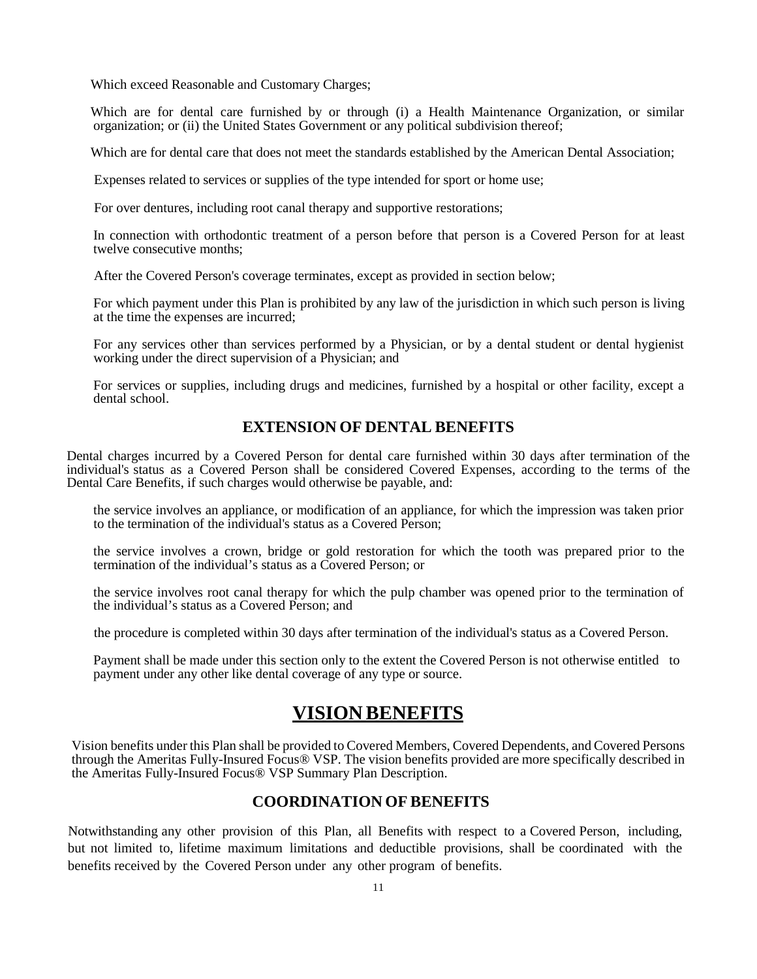Which exceed Reasonable and Customary Charges;

Which are for dental care furnished by or through (i) a Health Maintenance Organization, or similar organization; or (ii) the United States Government or any political subdivision thereof;

Which are for dental care that does not meet the standards established by the American Dental Association;

Expenses related to services or supplies of the type intended for sport or home use;

For over dentures, including root canal therapy and supportive restorations;

In connection with orthodontic treatment of a person before that person is a Covered Person for at least twelve consecutive months;

After the Covered Person's coverage terminates, except as provided in section below;

For which payment under this Plan is prohibited by any law of the jurisdiction in which such person is living at the time the expenses are incurred;

For any services other than services performed by a Physician, or by a dental student or dental hygienist working under the direct supervision of a Physician; and

For services or supplies, including drugs and medicines, furnished by a hospital or other facility, except a dental school.

## **EXTENSION OF DENTAL BENEFITS**

<span id="page-12-0"></span>Dental charges incurred by a Covered Person for dental care furnished within 30 days after termination of the individual's status as a Covered Person shall be considered Covered Expenses, according to the terms of the Dental Care Benefits, if such charges would otherwise be payable, and:

the service involves an appliance, or modification of an appliance, for which the impression was taken prior to the termination of the individual's status as a Covered Person;

the service involves a crown, bridge or gold restoration for which the tooth was prepared prior to the termination of the individual's status as a Covered Person; or

the service involves root canal therapy for which the pulp chamber was opened prior to the termination of the individual's status as a Covered Person; and

the procedure is completed within 30 days after termination of the individual's status as a Covered Person.

Payment shall be made under this section only to the extent the Covered Person is not otherwise entitled to payment under any other like dental coverage of any type or source.

## **VISION BENEFITS**

<span id="page-12-1"></span>Vision benefits under this Plan shall be provided to Covered Members, Covered Dependents, and Covered Persons through the Ameritas Fully-Insured Focus® VSP. The vision benefits provided are more specifically described in the Ameritas Fully-Insured Focus® VSP Summary Plan Description.

## **COORDINATION OF BENEFITS**

<span id="page-12-2"></span>Notwithstanding any other provision of this Plan, all Benefits with respect to a Covered Person, including, but not limited to, lifetime maximum limitations and deductible provisions, shall be coordinated with the benefits received by the Covered Person under any other program of benefits.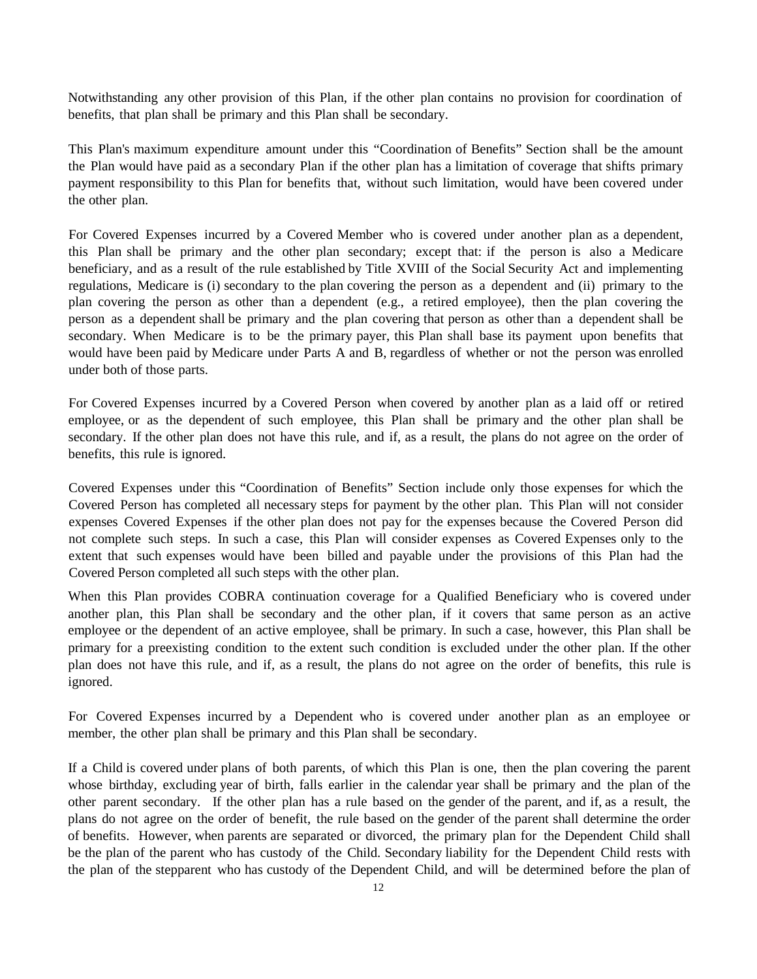Notwithstanding any other provision of this Plan, if the other plan contains no provision for coordination of benefits, that plan shall be primary and this Plan shall be secondary.

This Plan's maximum expenditure amount under this "Coordination of Benefits" Section shall be the amount the Plan would have paid as a secondary Plan if the other plan has a limitation of coverage that shifts primary payment responsibility to this Plan for benefits that, without such limitation, would have been covered under the other plan.

For Covered Expenses incurred by a Covered Member who is covered under another plan as a dependent, this Plan shall be primary and the other plan secondary; except that: if the person is also a Medicare beneficiary, and as a result of the rule established by Title XVIII of the Social Security Act and implementing regulations, Medicare is (i) secondary to the plan covering the person as a dependent and (ii) primary to the plan covering the person as other than a dependent (e.g., a retired employee), then the plan covering the person as a dependent shall be primary and the plan covering that person as other than a dependent shall be secondary. When Medicare is to be the primary payer, this Plan shall base its payment upon benefits that would have been paid by Medicare under Parts A and B, regardless of whether or not the person was enrolled under both of those parts.

For Covered Expenses incurred by a Covered Person when covered by another plan as a laid off or retired employee, or as the dependent of such employee, this Plan shall be primary and the other plan shall be secondary. If the other plan does not have this rule, and if, as a result, the plans do not agree on the order of benefits, this rule is ignored.

Covered Expenses under this "Coordination of Benefits" Section include only those expenses for which the Covered Person has completed all necessary steps for payment by the other plan. This Plan will not consider expenses Covered Expenses if the other plan does not pay for the expenses because the Covered Person did not complete such steps. In such a case, this Plan will consider expenses as Covered Expenses only to the extent that such expenses would have been billed and payable under the provisions of this Plan had the Covered Person completed all such steps with the other plan.

When this Plan provides COBRA continuation coverage for a Qualified Beneficiary who is covered under another plan, this Plan shall be secondary and the other plan, if it covers that same person as an active employee or the dependent of an active employee, shall be primary. In such a case, however, this Plan shall be primary for a preexisting condition to the extent such condition is excluded under the other plan. If the other plan does not have this rule, and if, as a result, the plans do not agree on the order of benefits, this rule is ignored.

For Covered Expenses incurred by a Dependent who is covered under another plan as an employee or member, the other plan shall be primary and this Plan shall be secondary.

If a Child is covered under plans of both parents, of which this Plan is one, then the plan covering the parent whose birthday, excluding year of birth, falls earlier in the calendar year shall be primary and the plan of the other parent secondary. If the other plan has a rule based on the gender of the parent, and if, as a result, the plans do not agree on the order of benefit, the rule based on the gender of the parent shall determine the order of benefits. However, when parents are separated or divorced, the primary plan for the Dependent Child shall be the plan of the parent who has custody of the Child. Secondary liability for the Dependent Child rests with the plan of the stepparent who has custody of the Dependent Child, and will be determined before the plan of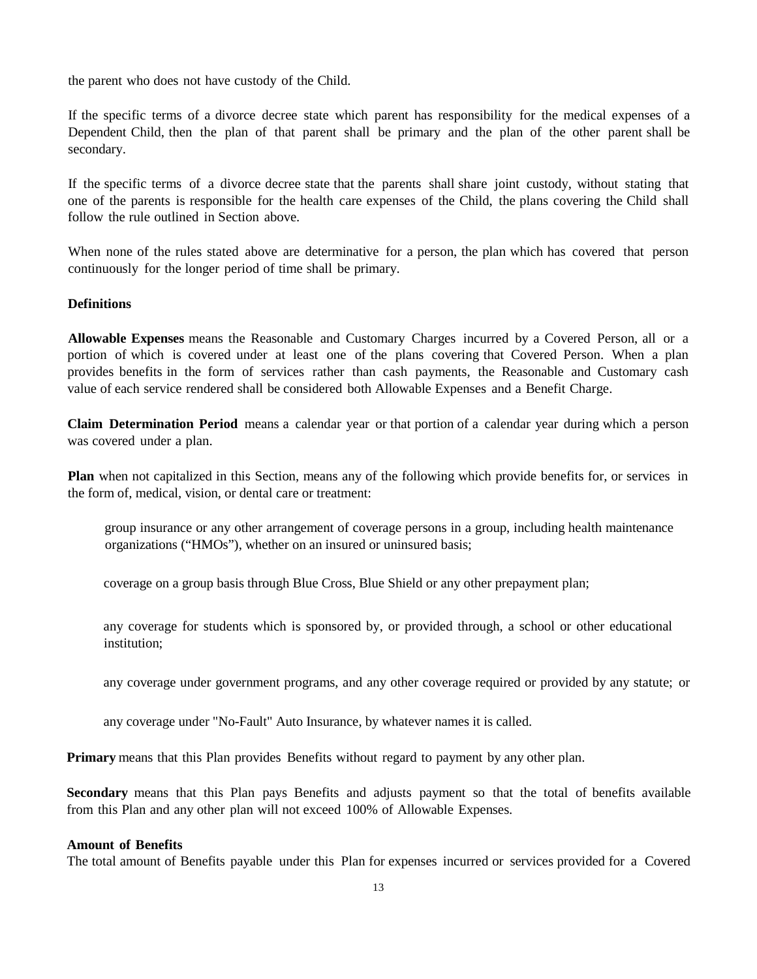the parent who does not have custody of the Child.

If the specific terms of a divorce decree state which parent has responsibility for the medical expenses of a Dependent Child, then the plan of that parent shall be primary and the plan of the other parent shall be secondary.

If the specific terms of a divorce decree state that the parents shall share joint custody, without stating that one of the parents is responsible for the health care expenses of the Child, the plans covering the Child shall follow the rule outlined in Section above.

When none of the rules stated above are determinative for a person, the plan which has covered that person continuously for the longer period of time shall be primary.

## **Definitions**

**Allowable Expenses** means the Reasonable and Customary Charges incurred by a Covered Person, all or a portion of which is covered under at least one of the plans covering that Covered Person. When a plan provides benefits in the form of services rather than cash payments, the Reasonable and Customary cash value of each service rendered shall be considered both Allowable Expenses and a Benefit Charge.

**Claim Determination Period** means a calendar year or that portion of a calendar year during which a person was covered under a plan.

**Plan** when not capitalized in this Section, means any of the following which provide benefits for, or services in the form of, medical, vision, or dental care or treatment:

group insurance or any other arrangement of coverage persons in a group, including health maintenance organizations ("HMOs"), whether on an insured or uninsured basis;

coverage on a group basis through Blue Cross, Blue Shield or any other prepayment plan;

any coverage for students which is sponsored by, or provided through, a school or other educational institution;

any coverage under government programs, and any other coverage required or provided by any statute; or

any coverage under "No-Fault" Auto Insurance, by whatever names it is called.

**Primary** means that this Plan provides Benefits without regard to payment by any other plan.

**Secondary** means that this Plan pays Benefits and adjusts payment so that the total of benefits available from this Plan and any other plan will not exceed 100% of Allowable Expenses.

## **Amount of Benefits**

The total amount of Benefits payable under this Plan for expenses incurred or services provided for a Covered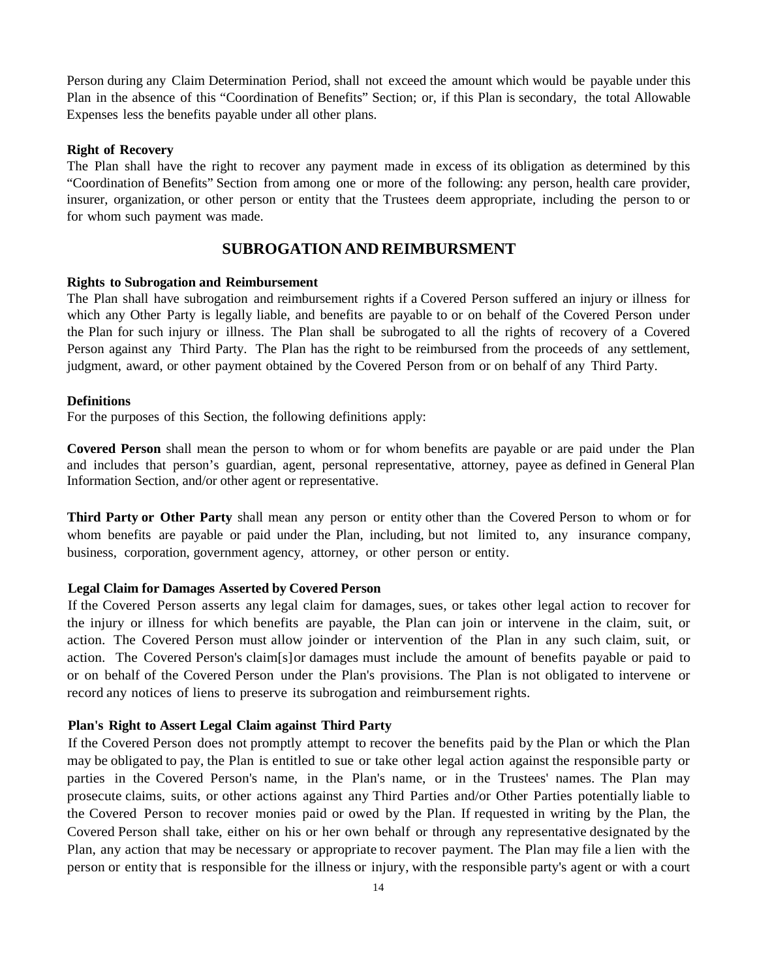Person during any Claim Determination Period, shall not exceed the amount which would be payable under this Plan in the absence of this "Coordination of Benefits" Section; or, if this Plan is secondary, the total Allowable Expenses less the benefits payable under all other plans.

## **Right of Recovery**

The Plan shall have the right to recover any payment made in excess of its obligation as determined by this "Coordination of Benefits" Section from among one or more of the following: any person, health care provider, insurer, organization, or other person or entity that the Trustees deem appropriate, including the person to or for whom such payment was made.

## **SUBROGATION AND REIMBURSMENT**

## <span id="page-15-0"></span>**Rights to Subrogation and Reimbursement**

The Plan shall have subrogation and reimbursement rights if a Covered Person suffered an injury or illness for which any Other Party is legally liable, and benefits are payable to or on behalf of the Covered Person under the Plan for such injury or illness. The Plan shall be subrogated to all the rights of recovery of a Covered Person against any Third Party. The Plan has the right to be reimbursed from the proceeds of any settlement, judgment, award, or other payment obtained by the Covered Person from or on behalf of any Third Party.

## **Definitions**

For the purposes of this Section, the following definitions apply:

**Covered Person** shall mean the person to whom or for whom benefits are payable or are paid under the Plan and includes that person's guardian, agent, personal representative, attorney, payee as defined in General Plan Information Section, and/or other agent or representative.

**Third Party or Other Party** shall mean any person or entity other than the Covered Person to whom or for whom benefits are payable or paid under the Plan, including, but not limited to, any insurance company, business, corporation, government agency, attorney, or other person or entity.

## **Legal Claim for Damages Asserted by Covered Person**

If the Covered Person asserts any legal claim for damages, sues, or takes other legal action to recover for the injury or illness for which benefits are payable, the Plan can join or intervene in the claim, suit, or action. The Covered Person must allow joinder or intervention of the Plan in any such claim, suit, or action. The Covered Person's claim[s]or damages must include the amount of benefits payable or paid to or on behalf of the Covered Person under the Plan's provisions. The Plan is not obligated to intervene or record any notices of liens to preserve its subrogation and reimbursement rights.

## **Plan's Right to Assert Legal Claim against Third Party**

If the Covered Person does not promptly attempt to recover the benefits paid by the Plan or which the Plan may be obligated to pay, the Plan is entitled to sue or take other legal action against the responsible party or parties in the Covered Person's name, in the Plan's name, or in the Trustees' names. The Plan may prosecute claims, suits, or other actions against any Third Parties and/or Other Parties potentially liable to the Covered Person to recover monies paid or owed by the Plan. If requested in writing by the Plan, the Covered Person shall take, either on his or her own behalf or through any representative designated by the Plan, any action that may be necessary or appropriate to recover payment. The Plan may file a lien with the person or entity that is responsible for the illness or injury, with the responsible party's agent or with a court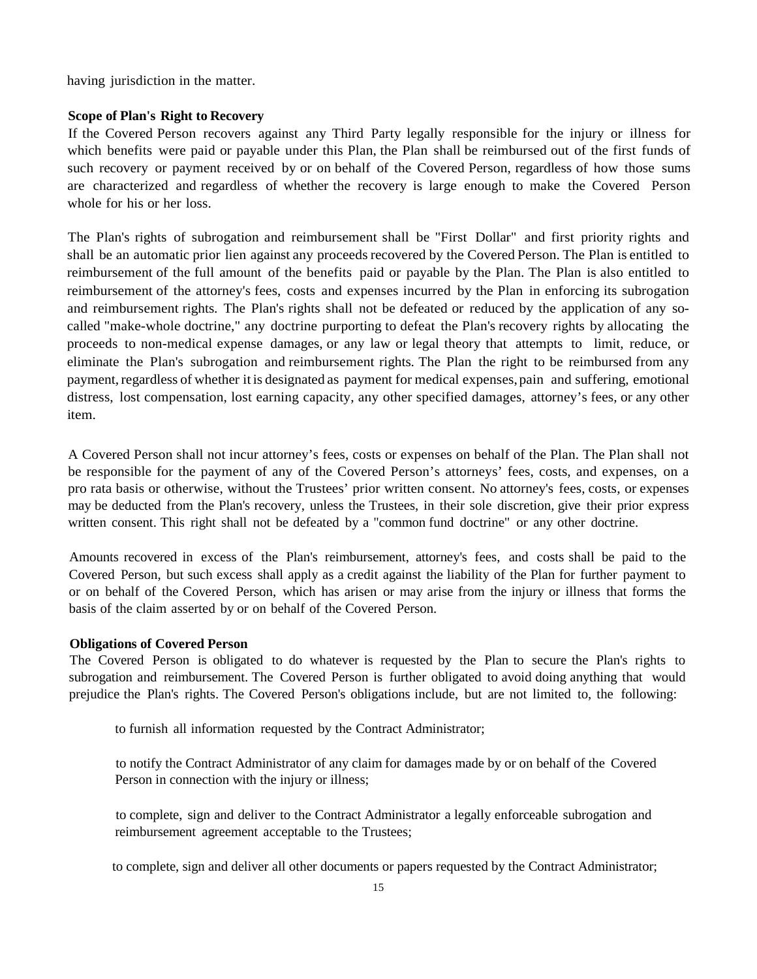having jurisdiction in the matter.

## **Scope of Plan's Right to Recovery**

If the Covered Person recovers against any Third Party legally responsible for the injury or illness for which benefits were paid or payable under this Plan, the Plan shall be reimbursed out of the first funds of such recovery or payment received by or on behalf of the Covered Person, regardless of how those sums are characterized and regardless of whether the recovery is large enough to make the Covered Person whole for his or her loss.

The Plan's rights of subrogation and reimbursement shall be "First Dollar" and first priority rights and shall be an automatic prior lien against any proceeds recovered by the Covered Person. The Plan is entitled to reimbursement of the full amount of the benefits paid or payable by the Plan. The Plan is also entitled to reimbursement of the attorney's fees, costs and expenses incurred by the Plan in enforcing its subrogation and reimbursement rights. The Plan's rights shall not be defeated or reduced by the application of any socalled "make-whole doctrine," any doctrine purporting to defeat the Plan's recovery rights by allocating the proceeds to non-medical expense damages, or any law or legal theory that attempts to limit, reduce, or eliminate the Plan's subrogation and reimbursement rights. The Plan the right to be reimbursed from any payment, regardless of whether it is designated as payment for medical expenses, pain and suffering, emotional distress, lost compensation, lost earning capacity, any other specified damages, attorney's fees, or any other item.

A Covered Person shall not incur attorney's fees, costs or expenses on behalf of the Plan. The Plan shall not be responsible for the payment of any of the Covered Person's attorneys' fees, costs, and expenses, on a pro rata basis or otherwise, without the Trustees' prior written consent. No attorney's fees, costs, or expenses may be deducted from the Plan's recovery, unless the Trustees, in their sole discretion, give their prior express written consent. This right shall not be defeated by a "common fund doctrine" or any other doctrine.

Amounts recovered in excess of the Plan's reimbursement, attorney's fees, and costs shall be paid to the Covered Person, but such excess shall apply as a credit against the liability of the Plan for further payment to or on behalf of the Covered Person, which has arisen or may arise from the injury or illness that forms the basis of the claim asserted by or on behalf of the Covered Person.

## **Obligations of Covered Person**

The Covered Person is obligated to do whatever is requested by the Plan to secure the Plan's rights to subrogation and reimbursement. The Covered Person is further obligated to avoid doing anything that would prejudice the Plan's rights. The Covered Person's obligations include, but are not limited to, the following:

to furnish all information requested by the Contract Administrator;

to notify the Contract Administrator of any claim for damages made by or on behalf of the Covered Person in connection with the injury or illness;

to complete, sign and deliver to the Contract Administrator a legally enforceable subrogation and reimbursement agreement acceptable to the Trustees;

to complete, sign and deliver all other documents or papers requested by the Contract Administrator;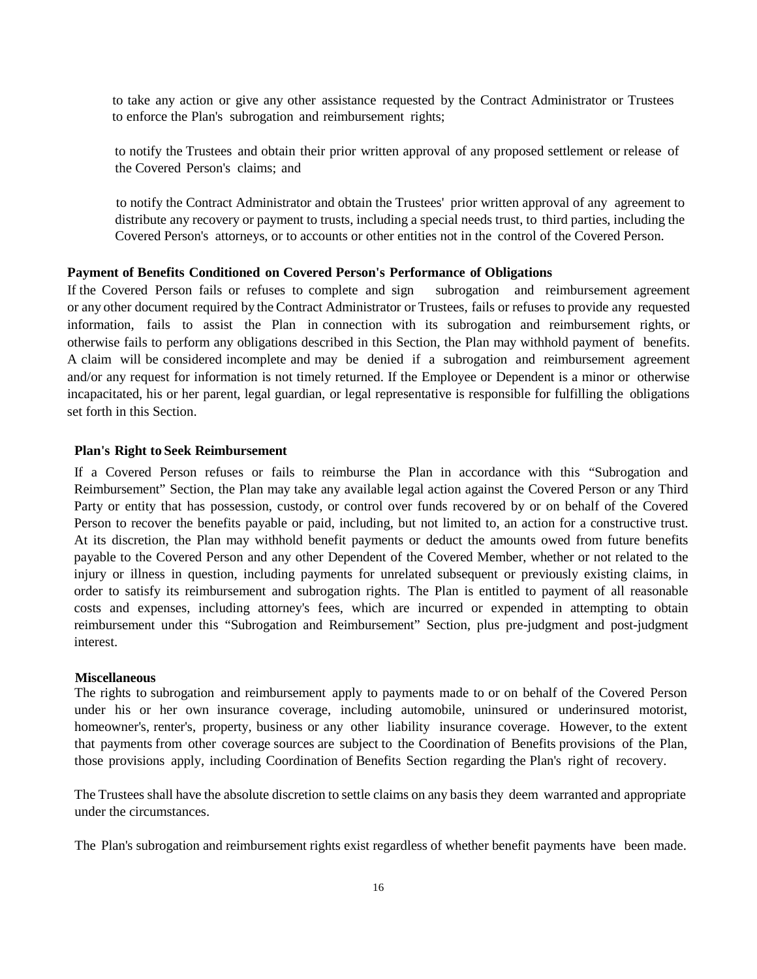to take any action or give any other assistance requested by the Contract Administrator or Trustees to enforce the Plan's subrogation and reimbursement rights;

to notify the Trustees and obtain their prior written approval of any proposed settlement or release of the Covered Person's claims; and

to notify the Contract Administrator and obtain the Trustees' prior written approval of any agreement to distribute any recovery or payment to trusts, including a special needs trust, to third parties, including the Covered Person's attorneys, or to accounts or other entities not in the control of the Covered Person.

## **Payment of Benefits Conditioned on Covered Person's Performance of Obligations**

If the Covered Person fails or refuses to complete and sign subrogation and reimbursement agreement or any other document required by the Contract Administrator or Trustees, fails or refuses to provide any requested information, fails to assist the Plan in connection with its subrogation and reimbursement rights, or otherwise fails to perform any obligations described in this Section, the Plan may withhold payment of benefits. A claim will be considered incomplete and may be denied if a subrogation and reimbursement agreement and/or any request for information is not timely returned. If the Employee or Dependent is a minor or otherwise incapacitated, his or her parent, legal guardian, or legal representative is responsible for fulfilling the obligations set forth in this Section.

## **Plan's Right to Seek Reimbursement**

If a Covered Person refuses or fails to reimburse the Plan in accordance with this "Subrogation and Reimbursement" Section, the Plan may take any available legal action against the Covered Person or any Third Party or entity that has possession, custody, or control over funds recovered by or on behalf of the Covered Person to recover the benefits payable or paid, including, but not limited to, an action for a constructive trust. At its discretion, the Plan may withhold benefit payments or deduct the amounts owed from future benefits payable to the Covered Person and any other Dependent of the Covered Member, whether or not related to the injury or illness in question, including payments for unrelated subsequent or previously existing claims, in order to satisfy its reimbursement and subrogation rights. The Plan is entitled to payment of all reasonable costs and expenses, including attorney's fees, which are incurred or expended in attempting to obtain reimbursement under this "Subrogation and Reimbursement" Section, plus pre-judgment and post-judgment interest.

#### **Miscellaneous**

The rights to subrogation and reimbursement apply to payments made to or on behalf of the Covered Person under his or her own insurance coverage, including automobile, uninsured or underinsured motorist, homeowner's, renter's, property, business or any other liability insurance coverage. However, to the extent that payments from other coverage sources are subject to the Coordination of Benefits provisions of the Plan, those provisions apply, including Coordination of Benefits Section regarding the Plan's right of recovery.

The Trustees shall have the absolute discretion to settle claims on any basis they deem warranted and appropriate under the circumstances.

The Plan's subrogation and reimbursement rights exist regardless of whether benefit payments have been made.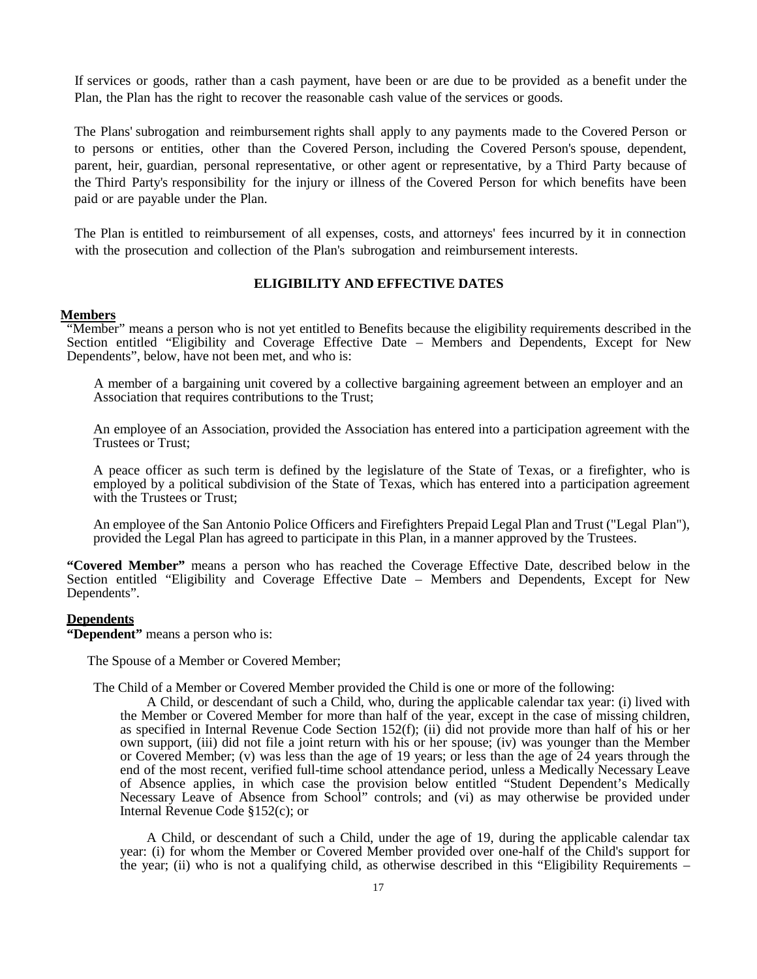If services or goods, rather than a cash payment, have been or are due to be provided as a benefit under the Plan, the Plan has the right to recover the reasonable cash value of the services or goods.

The Plans' subrogation and reimbursement rights shall apply to any payments made to the Covered Person or to persons or entities, other than the Covered Person, including the Covered Person's spouse, dependent, parent, heir, guardian, personal representative, or other agent or representative, by a Third Party because of the Third Party's responsibility for the injury or illness of the Covered Person for which benefits have been paid or are payable under the Plan.

The Plan is entitled to reimbursement of all expenses, costs, and attorneys' fees incurred by it in connection with the prosecution and collection of the Plan's subrogation and reimbursement interests.

## **ELIGIBILITY AND EFFECTIVE DATES**

## **Members**

"Member" means a person who is not yet entitled to Benefits because the eligibility requirements described in the Section entitled "Eligibility and Coverage Effective Date – Members and Dependents, Except for New Dependents", below, have not been met, and who is:

A member of a bargaining unit covered by a collective bargaining agreement between an employer and an Association that requires contributions to the Trust;

An employee of an Association, provided the Association has entered into a participation agreement with the Trustees or Trust;

A peace officer as such term is defined by the legislature of the State of Texas, or a firefighter, who is employed by a political subdivision of the State of Texas, which has entered into a participation agreement with the Trustees or Trust;

An employee of the San Antonio Police Officers and Firefighters Prepaid Legal Plan and Trust ("Legal Plan"), provided the Legal Plan has agreed to participate in this Plan, in a manner approved by the Trustees.

**"Covered Member"** means a person who has reached the Coverage Effective Date, described below in the Section entitled "Eligibility and Coverage Effective Date – Members and Dependents, Except for New Dependents".

## **Dependents**

**"Dependent"** means a person who is:

The Spouse of a Member or Covered Member;

The Child of a Member or Covered Member provided the Child is one or more of the following:

A Child, or descendant of such a Child, who, during the applicable calendar tax year: (i) lived with the Member or Covered Member for more than half of the year, except in the case of missing children, as specified in Internal Revenue Code Section 152(f); (ii) did not provide more than half of his or her own support, (iii) did not file a joint return with his or her spouse; (iv) was younger than the Member or Covered Member; (v) was less than the age of 19 years; or less than the age of 24 years through the end of the most recent, verified full-time school attendance period, unless a Medically Necessary Leave of Absence applies, in which case the provision below entitled "Student Dependent's Medically Necessary Leave of Absence from School" controls; and (vi) as may otherwise be provided under Internal Revenue Code §152(c); or

A Child, or descendant of such a Child, under the age of 19, during the applicable calendar tax year: (i) for whom the Member or Covered Member provided over one-half of the Child's support for the year; (ii) who is not a qualifying child, as otherwise described in this "Eligibility Requirements –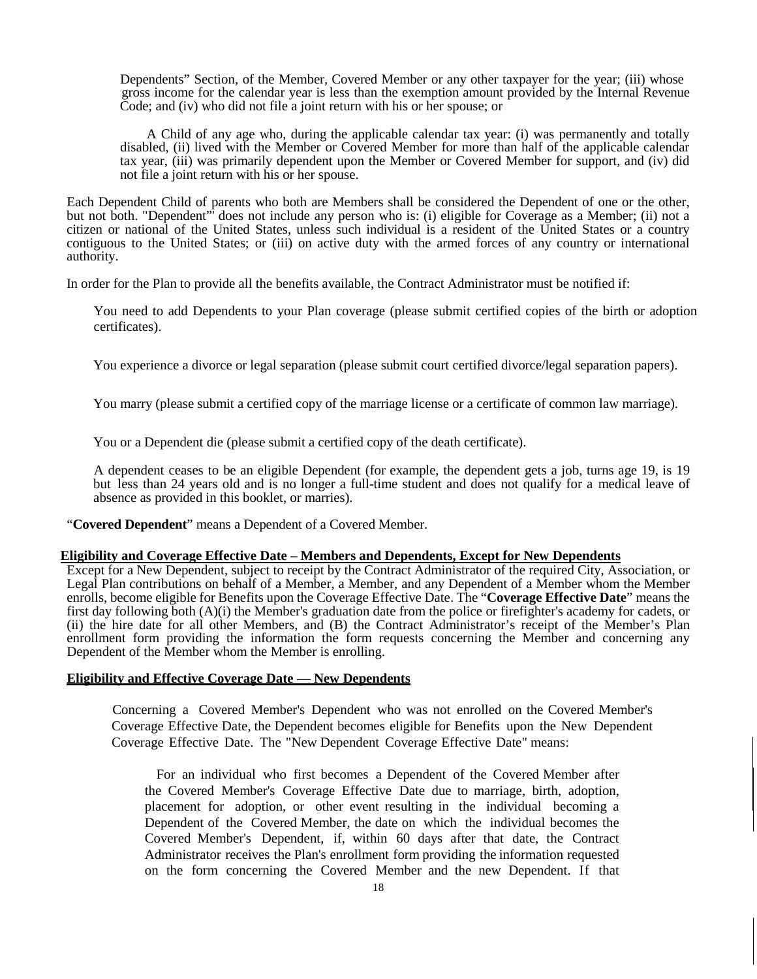Dependents" Section, of the Member, Covered Member or any other taxpayer for the year; (iii) whose gross income for the calendar year is less than the exemption amount provided by the Internal Revenue Code; and (iv) who did not file a joint return with his or her spouse; or

A Child of any age who, during the applicable calendar tax year: (i) was permanently and totally disabled, (ii) lived with the Member or Covered Member for more than half of the applicable calendar tax year, (iii) was primarily dependent upon the Member or Covered Member for support, and (iv) did not file a joint return with his or her spouse.

Each Dependent Child of parents who both are Members shall be considered the Dependent of one or the other, but not both. "Dependent"' does not include any person who is: (i) eligible for Coverage as a Member; (ii) not a citizen or national of the United States, unless such individual is a resident of the United States or a country contiguous to the United States; or (iii) on active duty with the armed forces of any country or international authority.

In order for the Plan to provide all the benefits available, the Contract Administrator must be notified if:

You need to add Dependents to your Plan coverage (please submit certified copies of the birth or adoption certificates).

You experience a divorce or legal separation (please submit court certified divorce/legal separation papers).

You marry (please submit a certified copy of the marriage license or a certificate of common law marriage).

You or a Dependent die (please submit a certified copy of the death certificate).

A dependent ceases to be an eligible Dependent (for example, the dependent gets a job, turns age 19, is 19 but less than 24 years old and is no longer a full-time student and does not qualify for a medical leave of absence as provided in this booklet, or marries).

"**Covered Dependent**" means a Dependent of a Covered Member.

## **Eligibility and Coverage Effective Date – Members and Dependents, Except for New Dependents**

Except for a New Dependent, subject to receipt by the Contract Administrator of the required City, Association, or Legal Plan contributions on behalf of a Member, a Member, and any Dependent of a Member whom the Member enrolls, become eligible for Benefits upon the Coverage Effective Date. The "**Coverage Effective Date**" means the first day following both (A)(i) the Member's graduation date from the police or firefighter's academy for cadets, or (ii) the hire date for all other Members, and (B) the Contract Administrator's receipt of the Member's Plan enrollment form providing the information the form requests concerning the Member and concerning any Dependent of the Member whom the Member is enrolling.

## **Eligibility and Effective Coverage Date — New Dependents**

Concerning a Covered Member's Dependent who was not enrolled on the Covered Member's Coverage Effective Date, the Dependent becomes eligible for Benefits upon the New Dependent Coverage Effective Date. The "New Dependent Coverage Effective Date" means:

For an individual who first becomes a Dependent of the Covered Member after the Covered Member's Coverage Effective Date due to marriage, birth, adoption, placement for adoption, or other event resulting in the individual becoming a Dependent of the Covered Member, the date on which the individual becomes the Covered Member's Dependent, if, within 60 days after that date, the Contract Administrator receives the Plan's enrollment form providing the information requested on the form concerning the Covered Member and the new Dependent. If that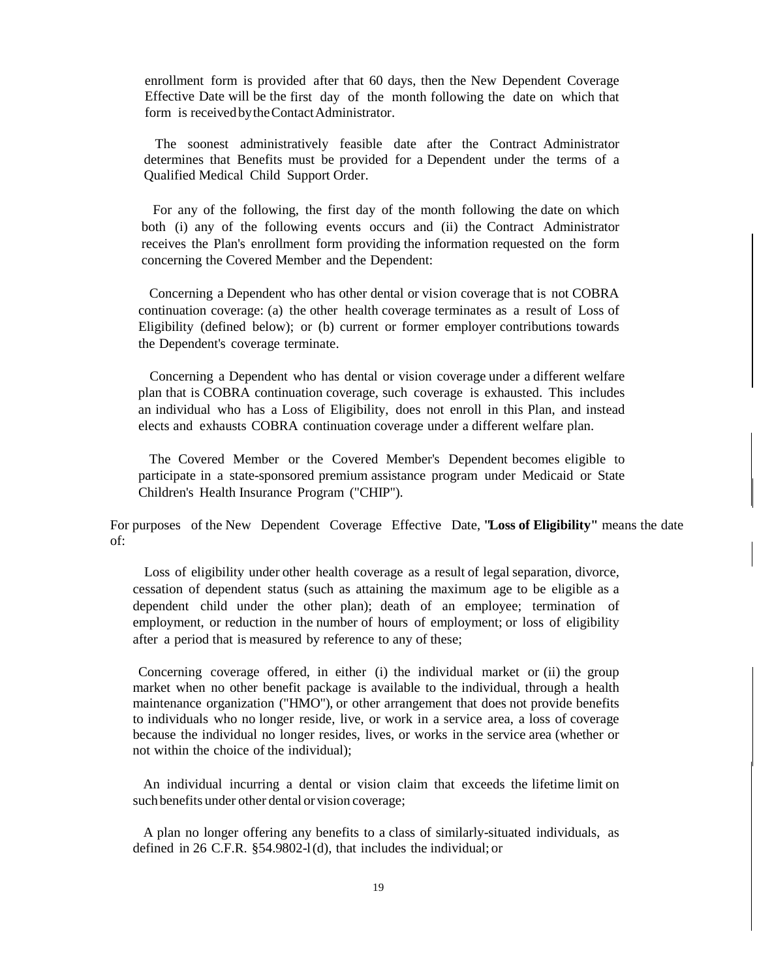enrollment form is provided after that 60 days, then the New Dependent Coverage Effective Date will be the first day of the month following the date on which that form is received by the Contact Administrator.

The soonest administratively feasible date after the Contract Administrator determines that Benefits must be provided for a Dependent under the terms of a Qualified Medical Child Support Order.

For any of the following, the first day of the month following the date on which both (i) any of the following events occurs and (ii) the Contract Administrator receives the Plan's enrollment form providing the information requested on the form concerning the Covered Member and the Dependent:

Concerning a Dependent who has other dental or vision coverage that is not COBRA continuation coverage: (a) the other health coverage terminates as a result of Loss of Eligibility (defined below); or (b) current or former employer contributions towards the Dependent's coverage terminate.

Concerning a Dependent who has dental or vision coverage under a different welfare plan that is COBRA continuation coverage, such coverage is exhausted. This includes an individual who has a Loss of Eligibility, does not enroll in this Plan, and instead elects and exhausts COBRA continuation coverage under a different welfare plan.

The Covered Member or the Covered Member's Dependent becomes eligible to participate in a state-sponsored premium assistance program under Medicaid or State Children's Health Insurance Program ("CHIP").

For purposes of the New Dependent Coverage Effective Date, **"Loss of Eligibility"** means the date of:

Loss of eligibility under other health coverage as a result of legal separation, divorce, cessation of dependent status (such as attaining the maximum age to be eligible as a dependent child under the other plan); death of an employee; termination of employment, or reduction in the number of hours of employment; or loss of eligibility after a period that is measured by reference to any of these;

Concerning coverage offered, in either (i) the individual market or (ii) the group market when no other benefit package is available to the individual, through a health maintenance organization ("HMO"), or other arrangement that does not provide benefits to individuals who no longer reside, live, or work in a service area, a loss of coverage because the individual no longer resides, lives, or works in the service area (whether or not within the choice of the individual);

An individual incurring a dental or vision claim that exceeds the lifetime limit on such benefits under other dental or vision coverage;

A plan no longer offering any benefits to a class of similarly-situated individuals, as defined in 26 C.F.R. §54.9802-l(d), that includes the individual; or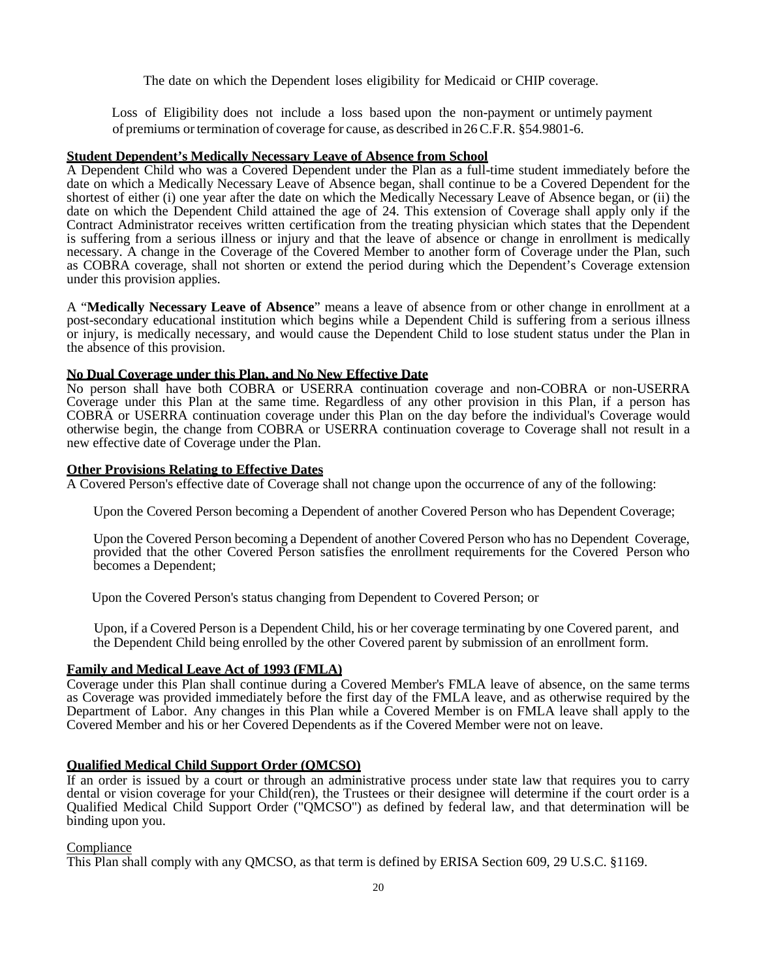The date on which the Dependent loses eligibility for Medicaid or CHIP coverage.

Loss of Eligibility does not include a loss based upon the non-payment or untimely payment of premiums ortermination of coverage for cause, as described in 26C.F.R. §54.9801-6.

#### **Student Dependent's Medically Necessary Leave of Absence from School**

A Dependent Child who was a Covered Dependent under the Plan as a full-time student immediately before the date on which a Medically Necessary Leave of Absence began, shall continue to be a Covered Dependent for the shortest of either (i) one year after the date on which the Medically Necessary Leave of Absence began, or (ii) the date on which the Dependent Child attained the age of 24. This extension of Coverage shall apply only if the Contract Administrator receives written certification from the treating physician which states that the Dependent is suffering from a serious illness or injury and that the leave of absence or change in enrollment is medically necessary. A change in the Coverage of the Covered Member to another form of Coverage under the Plan, such as COBRA coverage, shall not shorten or extend the period during which the Dependent's Coverage extension under this provision applies.

A "**Medically Necessary Leave of Absence**" means a leave of absence from or other change in enrollment at a post-secondary educational institution which begins while a Dependent Child is suffering from a serious illness or injury, is medically necessary, and would cause the Dependent Child to lose student status under the Plan in the absence of this provision.

## **No Dual Coverage under this Plan, and No New Effective Date**

No person shall have both COBRA or USERRA continuation coverage and non-COBRA or non-USERRA Coverage under this Plan at the same time. Regardless of any other provision in this Plan, if a person has COBRA or USERRA continuation coverage under this Plan on the day before the individual's Coverage would otherwise begin, the change from COBRA or USERRA continuation coverage to Coverage shall not result in a new effective date of Coverage under the Plan.

## **Other Provisions Relating to Effective Dates**

A Covered Person's effective date of Coverage shall not change upon the occurrence of any of the following:

Upon the Covered Person becoming a Dependent of another Covered Person who has Dependent Coverage;

Upon the Covered Person becoming a Dependent of another Covered Person who has no Dependent Coverage, provided that the other Covered Person satisfies the enrollment requirements for the Covered Person who becomes a Dependent;

Upon the Covered Person's status changing from Dependent to Covered Person; or

Upon, if a Covered Person is a Dependent Child, his or her coverage terminating by one Covered parent, and the Dependent Child being enrolled by the other Covered parent by submission of an enrollment form.

## **Family and Medical Leave Act of 1993 (FMLA)**

Coverage under this Plan shall continue during a Covered Member's FMLA leave of absence, on the same terms as Coverage was provided immediately before the first day of the FMLA leave, and as otherwise required by the Department of Labor. Any changes in this Plan while a Covered Member is on FMLA leave shall apply to the Covered Member and his or her Covered Dependents as if the Covered Member were not on leave.

## **Qualified Medical Child Support Order (QMCSO)**

If an order is issued by a court or through an administrative process under state law that requires you to carry dental or vision coverage for your Child(ren), the Trustees or their designee will determine if the court order is a Qualified Medical Child Support Order ("QMCSO") as defined by federal law, and that determination will be binding upon you.

#### **Compliance**

This Plan shall comply with any QMCSO, as that term is defined by ERISA Section 609, 29 U.S.C. §1169.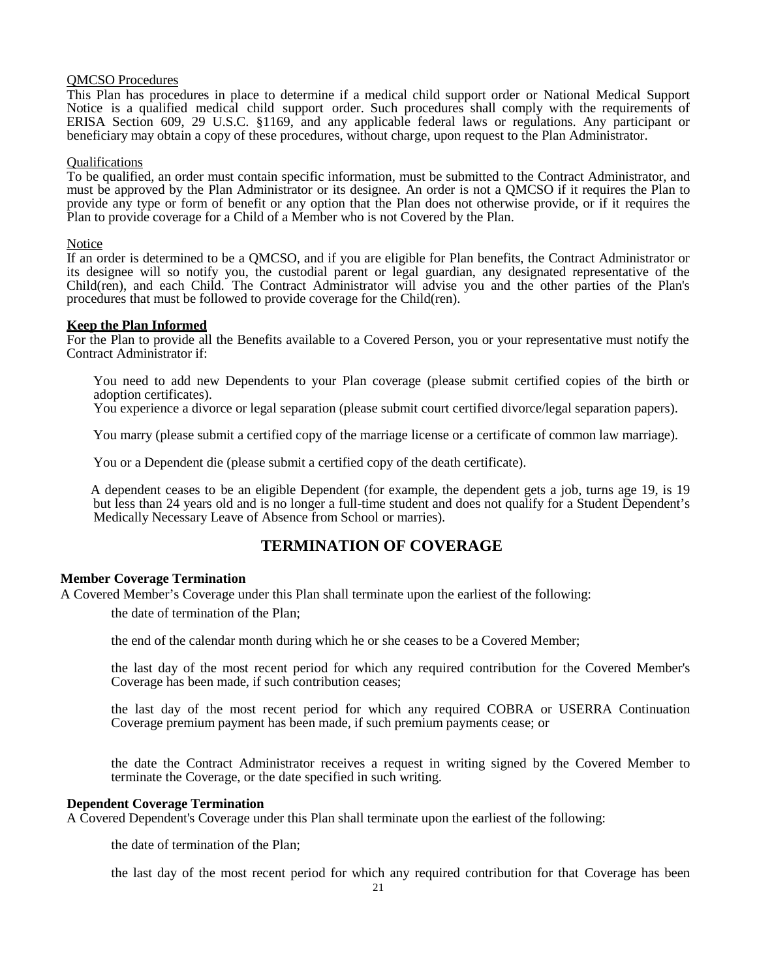## QMCSO Procedures

This Plan has procedures in place to determine if a medical child support order or National Medical Support Notice is a qualified medical child support order. Such procedures shall comply with the requirements of ERISA Section 609, 29 U.S.C. §1169, and any applicable federal laws or regulations. Any participant or beneficiary may obtain a copy of these procedures, without charge, upon request to the Plan Administrator.

## Qualifications

To be qualified, an order must contain specific information, must be submitted to the Contract Administrator, and must be approved by the Plan Administrator or its designee. An order is not a QMCSO if it requires the Plan to provide any type or form of benefit or any option that the Plan does not otherwise provide, or if it requires the Plan to provide coverage for a Child of a Member who is not Covered by the Plan.

## Notice

If an order is determined to be a QMCSO, and if you are eligible for Plan benefits, the Contract Administrator or its designee will so notify you, the custodial parent or legal guardian, any designated representative of the Child(ren), and each Child. The Contract Administrator will advise you and the other parties of the Plan's procedures that must be followed to provide coverage for the Child(ren).

## **Keep the Plan Informed**

For the Plan to provide all the Benefits available to a Covered Person, you or your representative must notify the Contract Administrator if:

You need to add new Dependents to your Plan coverage (please submit certified copies of the birth or adoption certificates).

You experience a divorce or legal separation (please submit court certified divorce/legal separation papers).

You marry (please submit a certified copy of the marriage license or a certificate of common law marriage).

You or a Dependent die (please submit a certified copy of the death certificate).

A dependent ceases to be an eligible Dependent (for example, the dependent gets a job, turns age 19, is 19 but less than 24 years old and is no longer a full-time student and does not qualify for a Student Dependent's Medically Necessary Leave of Absence from School or marries).

## **TERMINATION OF COVERAGE**

## **Member Coverage Termination**

A Covered Member's Coverage under this Plan shall terminate upon the earliest of the following:

the date of termination of the Plan;

the end of the calendar month during which he or she ceases to be a Covered Member;

the last day of the most recent period for which any required contribution for the Covered Member's Coverage has been made, if such contribution ceases;

the last day of the most recent period for which any required COBRA or USERRA Continuation Coverage premium payment has been made, if such premium payments cease; or

the date the Contract Administrator receives a request in writing signed by the Covered Member to terminate the Coverage, or the date specified in such writing.

## **Dependent Coverage Termination**

A Covered Dependent's Coverage under this Plan shall terminate upon the earliest of the following:

the date of termination of the Plan;

the last day of the most recent period for which any required contribution for that Coverage has been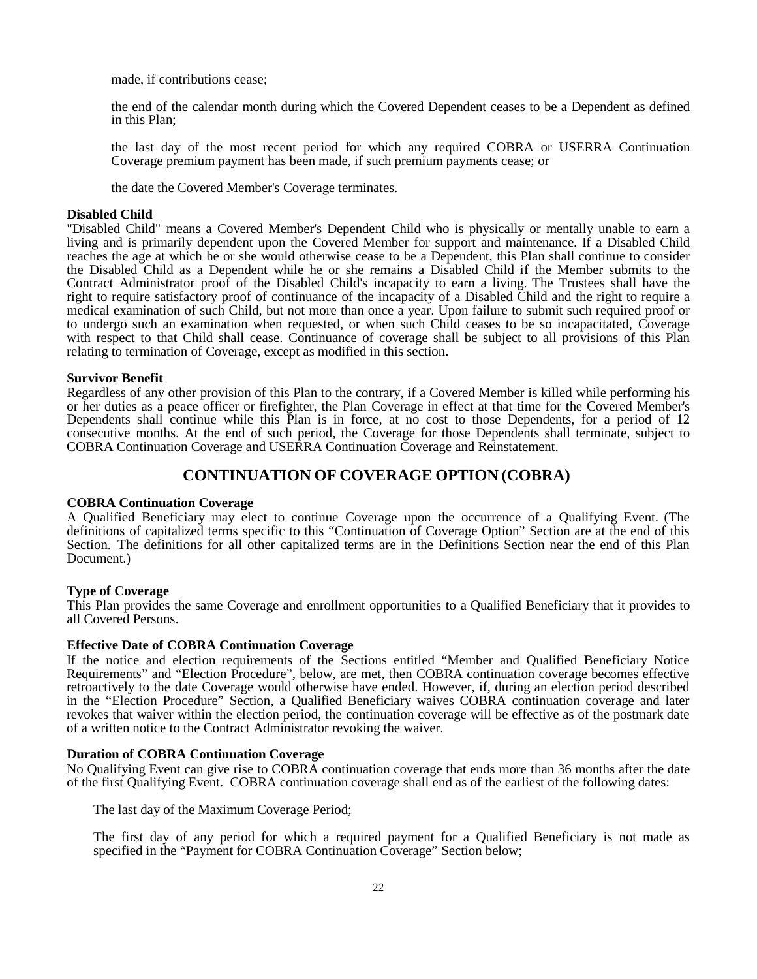made, if contributions cease;

the end of the calendar month during which the Covered Dependent ceases to be a Dependent as defined in this Plan;

the last day of the most recent period for which any required COBRA or USERRA Continuation Coverage premium payment has been made, if such premium payments cease; or

the date the Covered Member's Coverage terminates.

## **Disabled Child**

"Disabled Child" means a Covered Member's Dependent Child who is physically or mentally unable to earn a living and is primarily dependent upon the Covered Member for support and maintenance. If a Disabled Child reaches the age at which he or she would otherwise cease to be a Dependent, this Plan shall continue to consider the Disabled Child as a Dependent while he or she remains a Disabled Child if the Member submits to the Contract Administrator proof of the Disabled Child's incapacity to earn a living. The Trustees shall have the right to require satisfactory proof of continuance of the incapacity of a Disabled Child and the right to require a medical examination of such Child, but not more than once a year. Upon failure to submit such required proof or to undergo such an examination when requested, or when such Child ceases to be so incapacitated, Coverage with respect to that Child shall cease. Continuance of coverage shall be subject to all provisions of this Plan relating to termination of Coverage, except as modified in this section.

## **Survivor Benefit**

Regardless of any other provision of this Plan to the contrary, if a Covered Member is killed while performing his or her duties as a peace officer or firefighter, the Plan Coverage in effect at that time for the Covered Member's Dependents shall continue while this Plan is in force, at no cost to those Dependents, for a period of 12 consecutive months. At the end of such period, the Coverage for those Dependents shall terminate, subject to COBRA Continuation Coverage and USERRA Continuation Coverage and Reinstatement.

## **CONTINUATION OF COVERAGE OPTION (COBRA)**

## <span id="page-23-0"></span>**COBRA Continuation Coverage**

A Qualified Beneficiary may elect to continue Coverage upon the occurrence of a Qualifying Event. (The definitions of capitalized terms specific to this "Continuation of Coverage Option" Section are at the end of this Section. The definitions for all other capitalized terms are in the Definitions Section near the end of this Plan Document.)

## **Type of Coverage**

This Plan provides the same Coverage and enrollment opportunities to a Qualified Beneficiary that it provides to all Covered Persons.

## **Effective Date of COBRA Continuation Coverage**

If the notice and election requirements of the Sections entitled "Member and Qualified Beneficiary Notice Requirements" and "Election Procedure", below, are met, then COBRA continuation coverage becomes effective retroactively to the date Coverage would otherwise have ended. However, if, during an election period described in the "Election Procedure" Section, a Qualified Beneficiary waives COBRA continuation coverage and later revokes that waiver within the election period, the continuation coverage will be effective as of the postmark date of a written notice to the Contract Administrator revoking the waiver.

## **Duration of COBRA Continuation Coverage**

No Qualifying Event can give rise to COBRA continuation coverage that ends more than 36 months after the date of the first Qualifying Event. COBRA continuation coverage shall end as of the earliest of the following dates:

The last day of the Maximum Coverage Period;

The first day of any period for which a required payment for a Qualified Beneficiary is not made as specified in the "Payment for COBRA Continuation Coverage" Section below;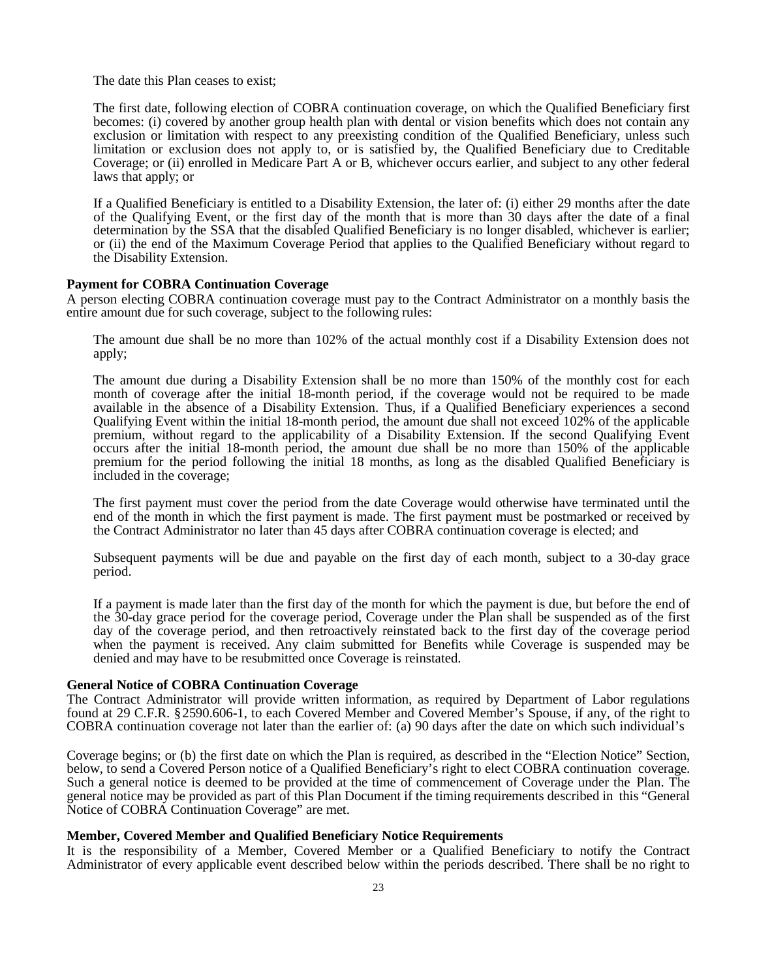The date this Plan ceases to exist;

The first date, following election of COBRA continuation coverage, on which the Qualified Beneficiary first becomes: (i) covered by another group health plan with dental or vision benefits which does not contain any exclusion or limitation with respect to any preexisting condition of the Qualified Beneficiary, unless such limitation or exclusion does not apply to, or is satisfied by, the Qualified Beneficiary due to Creditable Coverage; or (ii) enrolled in Medicare Part A or B, whichever occurs earlier, and subject to any other federal laws that apply; or

If a Qualified Beneficiary is entitled to a Disability Extension, the later of: (i) either 29 months after the date of the Qualifying Event, or the first day of the month that is more than 30 days after the date of a final determination by the SSA that the disabled Qualified Beneficiary is no longer disabled, whichever is earlier; or (ii) the end of the Maximum Coverage Period that applies to the Qualified Beneficiary without regard to the Disability Extension.

## **Payment for COBRA Continuation Coverage**

A person electing COBRA continuation coverage must pay to the Contract Administrator on a monthly basis the entire amount due for such coverage, subject to the following rules:

The amount due shall be no more than 102% of the actual monthly cost if a Disability Extension does not apply;

The amount due during a Disability Extension shall be no more than 150% of the monthly cost for each month of coverage after the initial 18-month period, if the coverage would not be required to be made available in the absence of a Disability Extension. Thus, if a Qualified Beneficiary experiences a second Qualifying Event within the initial 18-month period, the amount due shall not exceed 102% of the applicable premium, without regard to the applicability of a Disability Extension. If the second Qualifying Event occurs after the initial 18-month period, the amount due shall be no more than 150% of the applicable premium for the period following the initial 18 months, as long as the disabled Qualified Beneficiary is included in the coverage;

The first payment must cover the period from the date Coverage would otherwise have terminated until the end of the month in which the first payment is made. The first payment must be postmarked or received by the Contract Administrator no later than 45 days after COBRA continuation coverage is elected; and

Subsequent payments will be due and payable on the first day of each month, subject to a 30-day grace period.

If a payment is made later than the first day of the month for which the payment is due, but before the end of the 30-day grace period for the coverage period, Coverage under the Plan shall be suspended as of the first day of the coverage period, and then retroactively reinstated back to the first day of the coverage period when the payment is received. Any claim submitted for Benefits while Coverage is suspended may be denied and may have to be resubmitted once Coverage is reinstated.

## **General Notice of COBRA Continuation Coverage**

The Contract Administrator will provide written information, as required by Department of Labor regulations found at 29 C.F.R. §2590.606-1, to each Covered Member and Covered Member's Spouse, if any, of the right to COBRA continuation coverage not later than the earlier of: (a) 90 days after the date on which such individual's

Coverage begins; or (b) the first date on which the Plan is required, as described in the "Election Notice" Section, below, to send a Covered Person notice of a Qualified Beneficiary's right to elect COBRA continuation coverage. Such a general notice is deemed to be provided at the time of commencement of Coverage under the Plan. The general notice may be provided as part of this Plan Document if the timing requirements described in this "General Notice of COBRA Continuation Coverage" are met.

## **Member, Covered Member and Qualified Beneficiary Notice Requirements**

It is the responsibility of a Member, Covered Member or a Qualified Beneficiary to notify the Contract Administrator of every applicable event described below within the periods described. There shall be no right to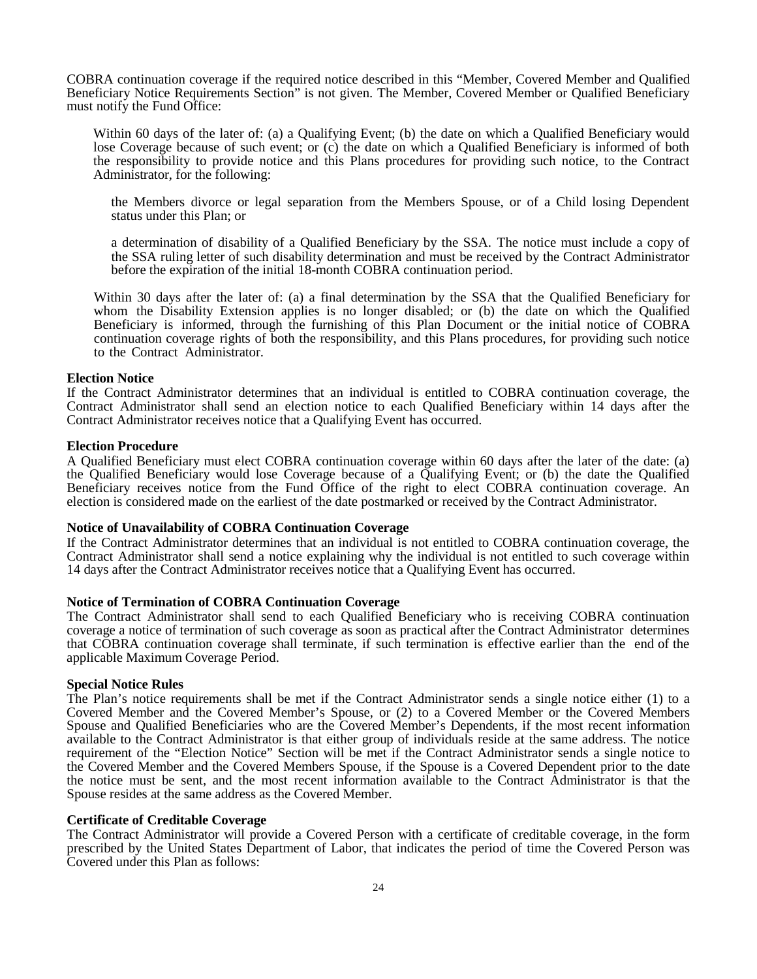COBRA continuation coverage if the required notice described in this "Member, Covered Member and Qualified Beneficiary Notice Requirements Section" is not given. The Member, Covered Member or Qualified Beneficiary must notify the Fund Office:

Within 60 days of the later of: (a) a Qualifying Event; (b) the date on which a Qualified Beneficiary would lose Coverage because of such event; or (c) the date on which a Qualified Beneficiary is informed of both the responsibility to provide notice and this Plans procedures for providing such notice, to the Contract Administrator, for the following:

the Members divorce or legal separation from the Members Spouse, or of a Child losing Dependent status under this Plan; or

a determination of disability of a Qualified Beneficiary by the SSA. The notice must include a copy of the SSA ruling letter of such disability determination and must be received by the Contract Administrator before the expiration of the initial 18-month COBRA continuation period.

Within 30 days after the later of: (a) a final determination by the SSA that the Qualified Beneficiary for whom the Disability Extension applies is no longer disabled; or (b) the date on which the Qualified Beneficiary is informed, through the furnishing of this Plan Document or the initial notice of COBRA continuation coverage rights of both the responsibility, and this Plans procedures, for providing such notice to the Contract Administrator.

## **Election Notice**

If the Contract Administrator determines that an individual is entitled to COBRA continuation coverage, the Contract Administrator shall send an election notice to each Qualified Beneficiary within 14 days after the Contract Administrator receives notice that a Qualifying Event has occurred.

## **Election Procedure**

A Qualified Beneficiary must elect COBRA continuation coverage within 60 days after the later of the date: (a) the Qualified Beneficiary would lose Coverage because of a Qualifying Event; or (b) the date the Qualified Beneficiary receives notice from the Fund Office of the right to elect COBRA continuation coverage. An election is considered made on the earliest of the date postmarked or received by the Contract Administrator.

## **Notice of Unavailability of COBRA Continuation Coverage**

If the Contract Administrator determines that an individual is not entitled to COBRA continuation coverage, the Contract Administrator shall send a notice explaining why the individual is not entitled to such coverage within 14 days after the Contract Administrator receives notice that a Qualifying Event has occurred.

## **Notice of Termination of COBRA Continuation Coverage**

The Contract Administrator shall send to each Qualified Beneficiary who is receiving COBRA continuation coverage a notice of termination of such coverage as soon as practical after the Contract Administrator determines that COBRA continuation coverage shall terminate, if such termination is effective earlier than the end of the applicable Maximum Coverage Period.

## **Special Notice Rules**

The Plan's notice requirements shall be met if the Contract Administrator sends a single notice either (1) to a Covered Member and the Covered Member's Spouse, or (2) to a Covered Member or the Covered Members Spouse and Qualified Beneficiaries who are the Covered Member's Dependents, if the most recent information available to the Contract Administrator is that either group of individuals reside at the same address. The notice requirement of the "Election Notice" Section will be met if the Contract Administrator sends a single notice to the Covered Member and the Covered Members Spouse, if the Spouse is a Covered Dependent prior to the date the notice must be sent, and the most recent information available to the Contract Administrator is that the Spouse resides at the same address as the Covered Member.

## **Certificate of Creditable Coverage**

The Contract Administrator will provide a Covered Person with a certificate of creditable coverage, in the form prescribed by the United States Department of Labor, that indicates the period of time the Covered Person was Covered under this Plan as follows: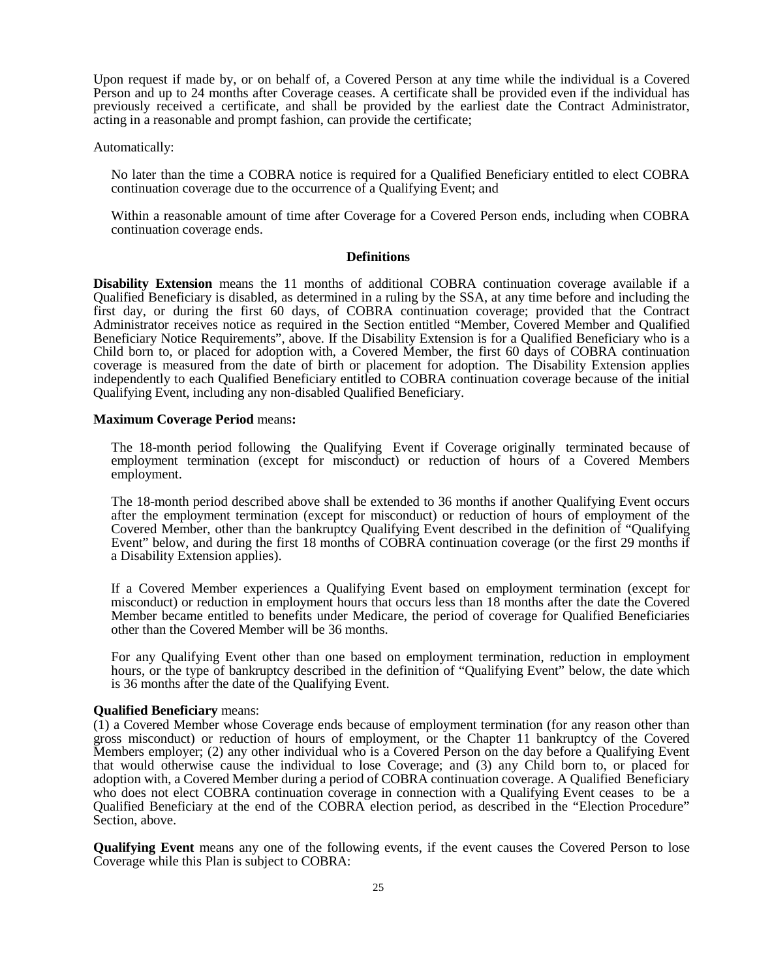Upon request if made by, or on behalf of, a Covered Person at any time while the individual is a Covered Person and up to 24 months after Coverage ceases. A certificate shall be provided even if the individual has previously received a certificate, and shall be provided by the earliest date the Contract Administrator, acting in a reasonable and prompt fashion, can provide the certificate;

Automatically:

No later than the time a COBRA notice is required for a Qualified Beneficiary entitled to elect COBRA continuation coverage due to the occurrence of a Qualifying Event; and

Within a reasonable amount of time after Coverage for a Covered Person ends, including when COBRA continuation coverage ends.

#### **Definitions**

**Disability Extension** means the 11 months of additional COBRA continuation coverage available if a Qualified Beneficiary is disabled, as determined in a ruling by the SSA, at any time before and including the first day, or during the first 60 days, of COBRA continuation coverage; provided that the Contract Administrator receives notice as required in the Section entitled "Member, Covered Member and Qualified Beneficiary Notice Requirements", above. If the Disability Extension is for a Qualified Beneficiary who is a Child born to, or placed for adoption with, a Covered Member, the first 60 days of COBRA continuation coverage is measured from the date of birth or placement for adoption. The Disability Extension applies independently to each Qualified Beneficiary entitled to COBRA continuation coverage because of the initial Qualifying Event, including any non-disabled Qualified Beneficiary.

## **Maximum Coverage Period** means**:**

The 18-month period following the Qualifying Event if Coverage originally terminated because of employment termination (except for misconduct) or reduction of hours of a Covered Members employment.

The 18-month period described above shall be extended to 36 months if another Qualifying Event occurs after the employment termination (except for misconduct) or reduction of hours of employment of the Covered Member, other than the bankruptcy Qualifying Event described in the definition of "Qualifying Event" below, and during the first 18 months of COBRA continuation coverage (or the first 29 months if a Disability Extension applies).

If a Covered Member experiences a Qualifying Event based on employment termination (except for misconduct) or reduction in employment hours that occurs less than 18 months after the date the Covered Member became entitled to benefits under Medicare, the period of coverage for Qualified Beneficiaries other than the Covered Member will be 36 months.

For any Qualifying Event other than one based on employment termination, reduction in employment hours, or the type of bankruptcy described in the definition of "Qualifying Event" below, the date which is 36 months after the date of the Qualifying Event.

#### **Qualified Beneficiary** means:

(1) a Covered Member whose Coverage ends because of employment termination (for any reason other than gross misconduct) or reduction of hours of employment, or the Chapter 11 bankruptcy of the Covered Members employer; (2) any other individual who is a Covered Person on the day before a Qualifying Event that would otherwise cause the individual to lose Coverage; and (3) any Child born to, or placed for adoption with, a Covered Member during a period of COBRA continuation coverage. A Qualified Beneficiary who does not elect COBRA continuation coverage in connection with a Qualifying Event ceases to be a Qualified Beneficiary at the end of the COBRA election period, as described in the "Election Procedure" Section, above.

**Qualifying Event** means any one of the following events, if the event causes the Covered Person to lose Coverage while this Plan is subject to COBRA: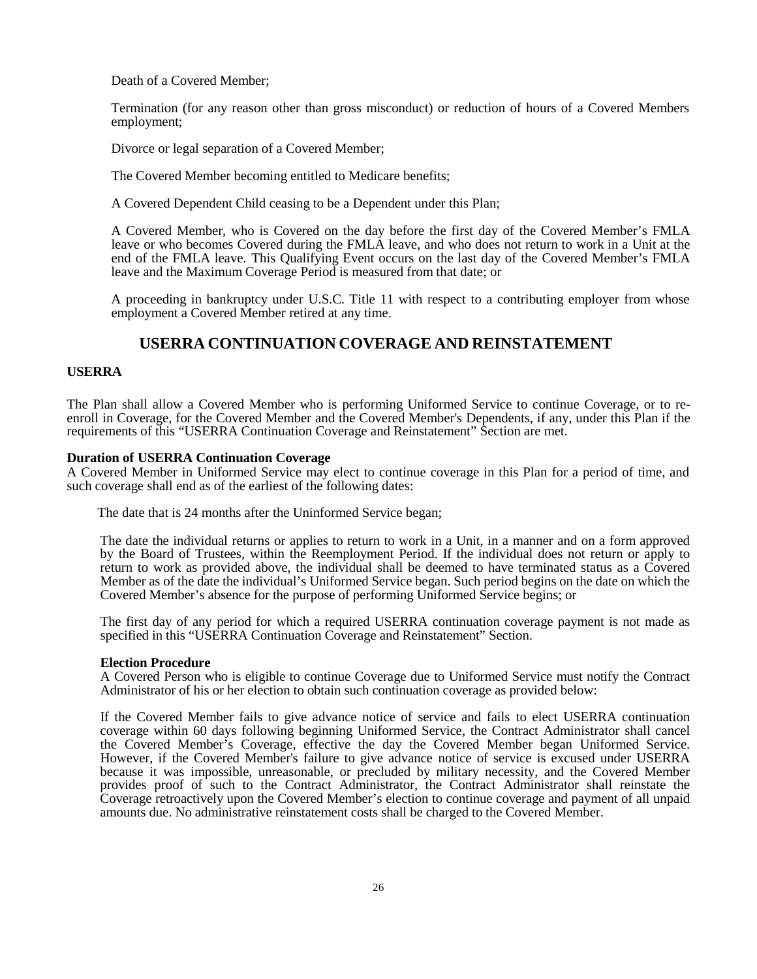Death of a Covered Member;

Termination (for any reason other than gross misconduct) or reduction of hours of a Covered Members employment;

Divorce or legal separation of a Covered Member;

The Covered Member becoming entitled to Medicare benefits;

A Covered Dependent Child ceasing to be a Dependent under this Plan;

A Covered Member, who is Covered on the day before the first day of the Covered Member's FMLA leave or who becomes Covered during the FMLA leave, and who does not return to work in a Unit at the end of the FMLA leave. This Qualifying Event occurs on the last day of the Covered Member's FMLA leave and the Maximum Coverage Period is measured from that date; or

A proceeding in bankruptcy under U.S.C. Title 11 with respect to a contributing employer from whose employment a Covered Member retired at any time.

## **USERRA CONTINUATION COVERAGE AND REINSTATEMENT**

## <span id="page-27-0"></span>**USERRA**

The Plan shall allow <sup>a</sup> Covered Member who is performing Uniformed Service to continue Coverage, or to re- enroll in Coverage, for the Covered Member and the Covered Member's Dependents, if any, under this Plan if the requirements of this "USERRA Continuation Coverage and Reinstatement" Section are met.

## **Duration of USERRA Continuation Coverage**

A Covered Member in Uniformed Service may elect to continue coverage in this Plan for a period of time, and such coverage shall end as of the earliest of the following dates:

The date that is 24 months after the Uninformed Service began;

The date the individual returns or applies to return to work in a Unit, in a manner and on a form approved by the Board of Trustees, within the Reemployment Period. If the individual does not return or apply to return to work as provided above, the individual shall be deemed to have terminated status as a Covered Member as of the date the individual's Uniformed Service began. Such period begins on the date on which the Covered Member's absence for the purpose of performing Uniformed Service begins; or

The first day of any period for which a required USERRA continuation coverage payment is not made as specified in this "USERRA Continuation Coverage and Reinstatement" Section.

## **Election Procedure**

A Covered Person who is eligible to continue Coverage due to Uniformed Service must notify the Contract Administrator of his or her election to obtain such continuation coverage as provided below:

If the Covered Member fails to give advance notice of service and fails to elect USERRA continuation coverage within 60 days following beginning Uniformed Service, the Contract Administrator shall cancel the Covered Member's Coverage, effective the day the Covered Member began Uniformed Service. However, if the Covered Member's failure to give advance notice of service is excused under USERRA because it was impossible, unreasonable, or precluded by military necessity, and the Covered Member provides proof of such to the Contract Administrator, the Contract Administrator shall reinstate the Coverage retroactively upon the Covered Member's election to continue coverage and payment of all unpaid amounts due. No administrative reinstatement costs shall be charged to the Covered Member.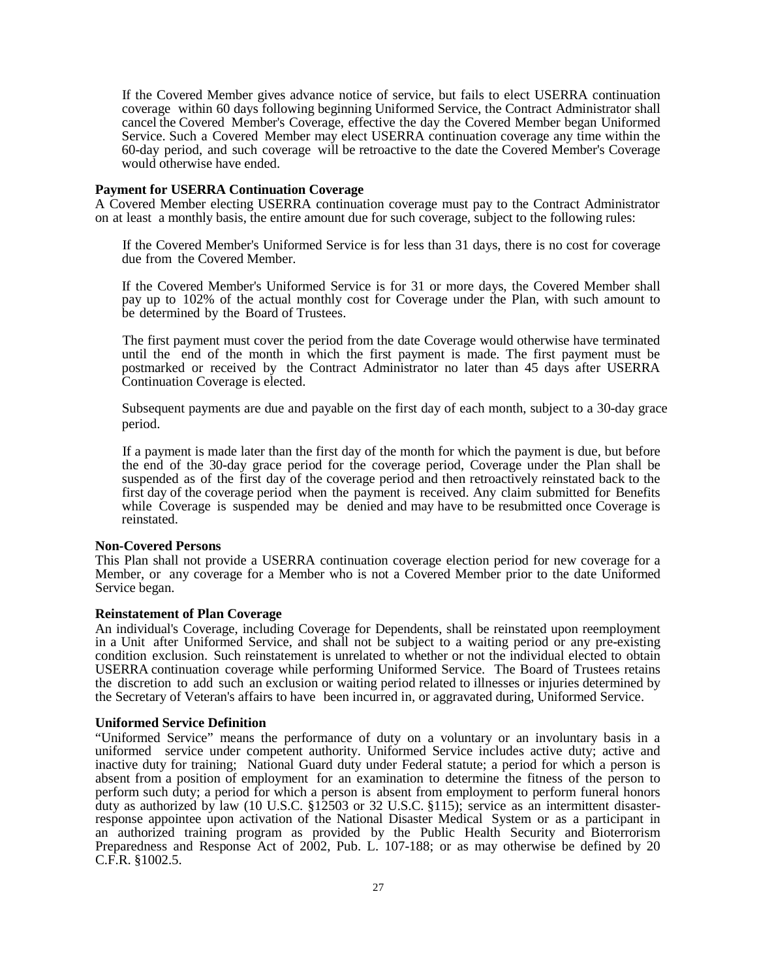If the Covered Member gives advance notice of service, but fails to elect USERRA continuation coverage within 60 days following beginning Uniformed Service, the Contract Administrator shall cancel the Covered Member's Coverage, effective the day the Covered Member began Uniformed Service. Such a Covered Member may elect USERRA continuation coverage any time within the 60-day period, and such coverage will be retroactive to the date the Covered Member's Coverage would otherwise have ended.

## **Payment for USERRA Continuation Coverage**

A Covered Member electing USERRA continuation coverage must pay to the Contract Administrator on at least a monthly basis, the entire amount due for such coverage, subject to the following rules:

If the Covered Member's Uniformed Service is for less than 31 days, there is no cost for coverage due from the Covered Member.

If the Covered Member's Uniformed Service is for 31 or more days, the Covered Member shall pay up to 102% of the actual monthly cost for Coverage under the Plan, with such amount to be determined by the Board of Trustees.

The first payment must cover the period from the date Coverage would otherwise have terminated until the end of the month in which the first payment is made. The first payment must be postmarked or received by the Contract Administrator no later than 45 days after USERRA Continuation Coverage is elected.

Subsequent payments are due and payable on the first day of each month, subject to a 30-day grace period.

If a payment is made later than the first day of the month for which the payment is due, but before the end of the 30-day grace period for the coverage period, Coverage under the Plan shall be suspended as of the first day of the coverage period and then retroactively reinstated back to the first day of the coverage period when the payment is received. Any claim submitted for Benefits while Coverage is suspended may be denied and may have to be resubmitted once Coverage is reinstated.

## **Non-Covered Persons**

This Plan shall not provide a USERRA continuation coverage election period for new coverage for a Member, or any coverage for a Member who is not a Covered Member prior to the date Uniformed Service began.

#### **Reinstatement of Plan Coverage**

An individual's Coverage, including Coverage for Dependents, shall be reinstated upon reemployment in a Unit after Uniformed Service, and shall not be subject to a waiting period or any pre-existing condition exclusion. Such reinstatement is unrelated to whether or not the individual elected to obtain USERRA continuation coverage while performing Uniformed Service. The Board of Trustees retains the discretion to add such an exclusion or waiting period related to illnesses or injuries determined by the Secretary of Veteran's affairs to have been incurred in, or aggravated during, Uniformed Service.

## **Uniformed Service Definition**

"Uniformed Service" means the performance of duty on a voluntary or an involuntary basis in a uniformed service under competent authority. Uniformed Service includes active duty; active and inactive duty for training; National Guard duty under Federal statute; a period for which a person is absent from a position of employment for an examination to determine the fitness of the person to perform such duty; a period for which a person is absent from employment to perform funeral honors duty as authorized by law (10 U.S.C. §12503 or 32 U.S.C. §115); service as an intermittent disasterresponse appointee upon activation of the National Disaster Medical System or as a participant in an authorized training program as provided by the Public Health Security and Bioterrorism Preparedness and Response Act of 2002, Pub. L. 107-188; or as may otherwise be defined by 20 C.F.R. §1002.5.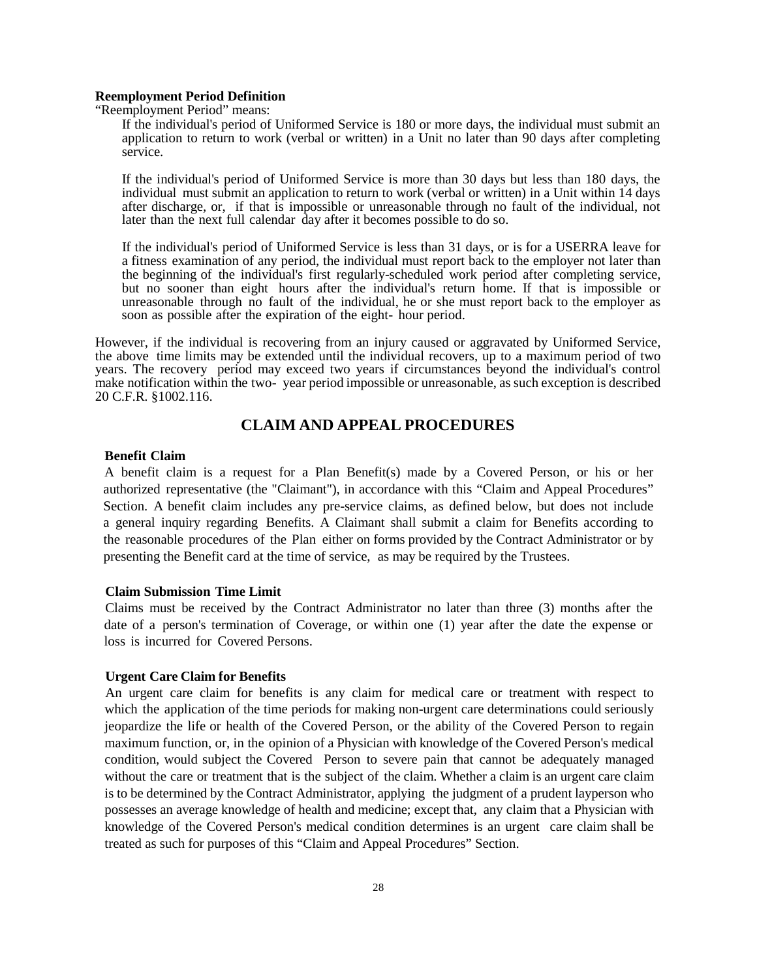## **Reemployment Period Definition**

"Reemployment Period" means:

If the individual's period of Uniformed Service is 180 or more days, the individual must submit an application to return to work (verbal or written) in a Unit no later than 90 days after completing service.

If the individual's period of Uniformed Service is more than 30 days but less than 180 days, the individual must submit an application to return to work (verbal or written) in a Unit within 14 days after discharge, or, if that is impossible or unreasonable through no fault of the individual, not later than the next full calendar day after it becomes possible to do so.

If the individual's period of Uniformed Service is less than 31 days, or is for a USERRA leave for a fitness examination of any period, the individual must report back to the employer not later than the beginning of the individual's first regularly-scheduled work period after completing service, but no sooner than eight hours after the individual's return home. If that is impossible or unreasonable through no fault of the individual, he or she must report back to the employer as soon as possible after the expiration of the eight- hour period.

However, if the individual is recovering from an injury caused or aggravated by Uniformed Service, the above time limits may be extended until the individual recovers, up to a maximum period of two years. The recovery period may exceed two years if circumstances beyond the individual's control make notification within the two- year period impossible or unreasonable, as such exception is described 20 C.F.R. §1002.116.

## **CLAIM AND APPEAL PROCEDURES**

## <span id="page-29-0"></span>**Benefit Claim**

A benefit claim is a request for a Plan Benefit(s) made by a Covered Person, or his or her authorized representative (the "Claimant"), in accordance with this "Claim and Appeal Procedures" Section. A benefit claim includes any pre-service claims, as defined below, but does not include a general inquiry regarding Benefits. A Claimant shall submit a claim for Benefits according to the reasonable procedures of the Plan either on forms provided by the Contract Administrator or by presenting the Benefit card at the time of service, as may be required by the Trustees.

## **Claim Submission Time Limit**

Claims must be received by the Contract Administrator no later than three (3) months after the date of a person's termination of Coverage, or within one (1) year after the date the expense or loss is incurred for Covered Persons.

## **Urgent Care Claim for Benefits**

An urgent care claim for benefits is any claim for medical care or treatment with respect to which the application of the time periods for making non-urgent care determinations could seriously jeopardize the life or health of the Covered Person, or the ability of the Covered Person to regain maximum function, or, in the opinion of a Physician with knowledge of the Covered Person's medical condition, would subject the Covered Person to severe pain that cannot be adequately managed without the care or treatment that is the subject of the claim. Whether a claim is an urgent care claim is to be determined by the Contract Administrator, applying the judgment of a prudent layperson who possesses an average knowledge of health and medicine; except that, any claim that a Physician with knowledge of the Covered Person's medical condition determines is an urgent care claim shall be treated as such for purposes of this "Claim and Appeal Procedures" Section.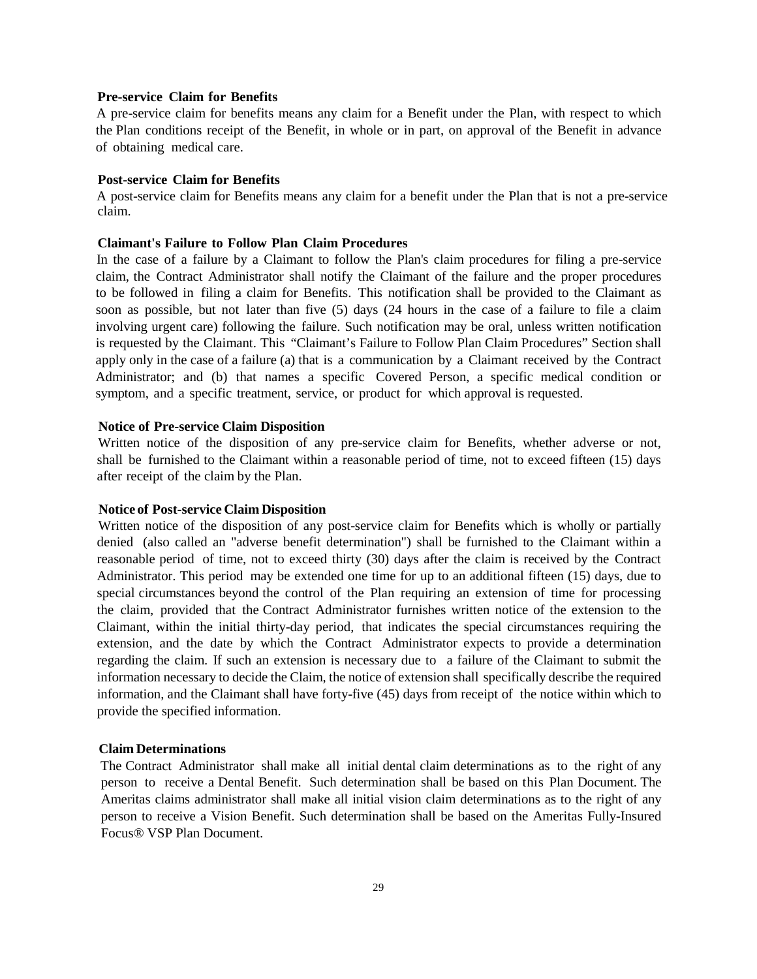## **Pre-service Claim for Benefits**

A pre-service claim for benefits means any claim for a Benefit under the Plan, with respect to which the Plan conditions receipt of the Benefit, in whole or in part, on approval of the Benefit in advance of obtaining medical care.

## **Post-service Claim for Benefits**

A post-service claim for Benefits means any claim for a benefit under the Plan that is not a pre-service claim.

## **Claimant's Failure to Follow Plan Claim Procedures**

In the case of a failure by a Claimant to follow the Plan's claim procedures for filing a pre-service claim, the Contract Administrator shall notify the Claimant of the failure and the proper procedures to be followed in filing a claim for Benefits. This notification shall be provided to the Claimant as soon as possible, but not later than five (5) days (24 hours in the case of a failure to file a claim involving urgent care) following the failure. Such notification may be oral, unless written notification is requested by the Claimant. This "Claimant's Failure to Follow Plan Claim Procedures" Section shall apply only in the case of a failure (a) that is a communication by a Claimant received by the Contract Administrator; and (b) that names a specific Covered Person, a specific medical condition or symptom, and a specific treatment, service, or product for which approval is requested.

## **Notice of Pre-service Claim Disposition**

Written notice of the disposition of any pre-service claim for Benefits, whether adverse or not, shall be furnished to the Claimant within a reasonable period of time, not to exceed fifteen (15) days after receipt of the claim by the Plan.

## **Notice of Post-service Claim Disposition**

Written notice of the disposition of any post-service claim for Benefits which is wholly or partially denied (also called an "adverse benefit determination") shall be furnished to the Claimant within a reasonable period of time, not to exceed thirty (30) days after the claim is received by the Contract Administrator. This period may be extended one time for up to an additional fifteen (15) days, due to special circumstances beyond the control of the Plan requiring an extension of time for processing the claim, provided that the Contract Administrator furnishes written notice of the extension to the Claimant, within the initial thirty-day period, that indicates the special circumstances requiring the extension, and the date by which the Contract Administrator expects to provide a determination regarding the claim. If such an extension is necessary due to a failure of the Claimant to submit the information necessary to decide the Claim, the notice of extension shall specifically describe the required information, and the Claimant shall have forty-five (45) days from receipt of the notice within which to provide the specified information.

## **Claim Determinations**

The Contract Administrator shall make all initial dental claim determinations as to the right of any person to receive a Dental Benefit. Such determination shall be based on this Plan Document. The Ameritas claims administrator shall make all initial vision claim determinations as to the right of any person to receive a Vision Benefit. Such determination shall be based on the Ameritas Fully-Insured Focus® VSP Plan Document.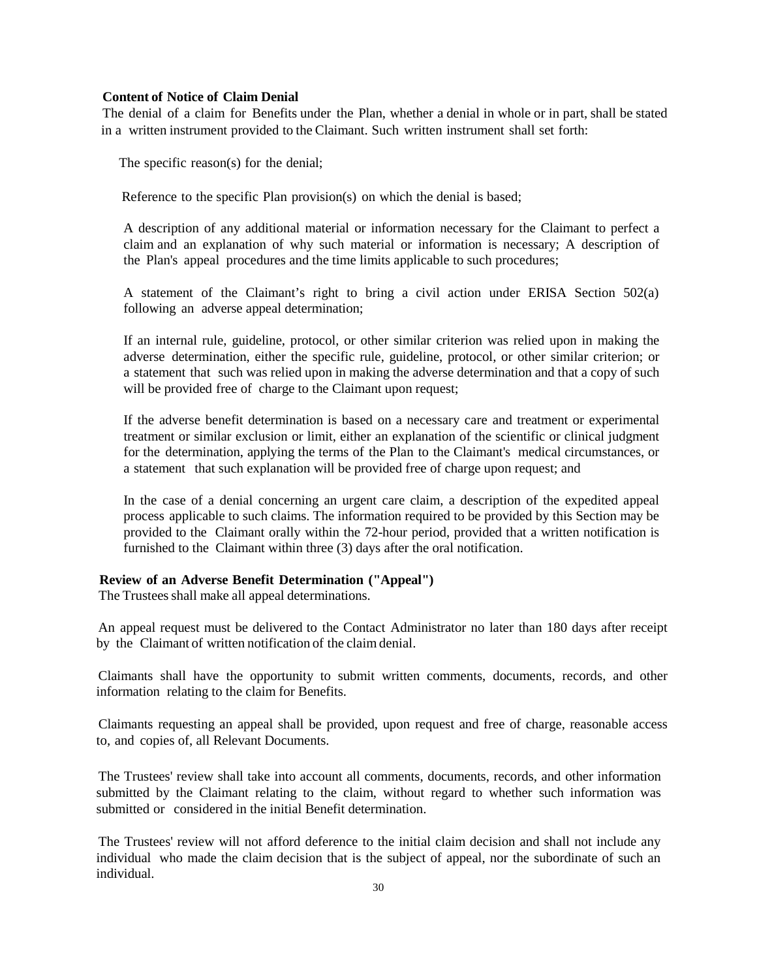## **Content of Notice of Claim Denial**

The denial of a claim for Benefits under the Plan, whether a denial in whole or in part, shall be stated in a written instrument provided to the Claimant. Such written instrument shall set forth:

The specific reason(s) for the denial;

Reference to the specific Plan provision(s) on which the denial is based;

A description of any additional material or information necessary for the Claimant to perfect a claim and an explanation of why such material or information is necessary; A description of the Plan's appeal procedures and the time limits applicable to such procedures;

A statement of the Claimant's right to bring a civil action under ERISA Section 502(a) following an adverse appeal determination;

If an internal rule, guideline, protocol, or other similar criterion was relied upon in making the adverse determination, either the specific rule, guideline, protocol, or other similar criterion; or a statement that such was relied upon in making the adverse determination and that a copy of such will be provided free of charge to the Claimant upon request;

If the adverse benefit determination is based on a necessary care and treatment or experimental treatment or similar exclusion or limit, either an explanation of the scientific or clinical judgment for the determination, applying the terms of the Plan to the Claimant's medical circumstances, or a statement that such explanation will be provided free of charge upon request; and

In the case of a denial concerning an urgent care claim, a description of the expedited appeal process applicable to such claims. The information required to be provided by this Section may be provided to the Claimant orally within the 72-hour period, provided that a written notification is furnished to the Claimant within three (3) days after the oral notification.

## **Review of an Adverse Benefit Determination ("Appeal")**

The Trustees shall make all appeal determinations.

An appeal request must be delivered to the Contact Administrator no later than 180 days after receipt by the Claimant of written notification of the claim denial.

Claimants shall have the opportunity to submit written comments, documents, records, and other information relating to the claim for Benefits.

Claimants requesting an appeal shall be provided, upon request and free of charge, reasonable access to, and copies of, all Relevant Documents.

The Trustees' review shall take into account all comments, documents, records, and other information submitted by the Claimant relating to the claim, without regard to whether such information was submitted or considered in the initial Benefit determination.

The Trustees' review will not afford deference to the initial claim decision and shall not include any individual who made the claim decision that is the subject of appeal, nor the subordinate of such an individual.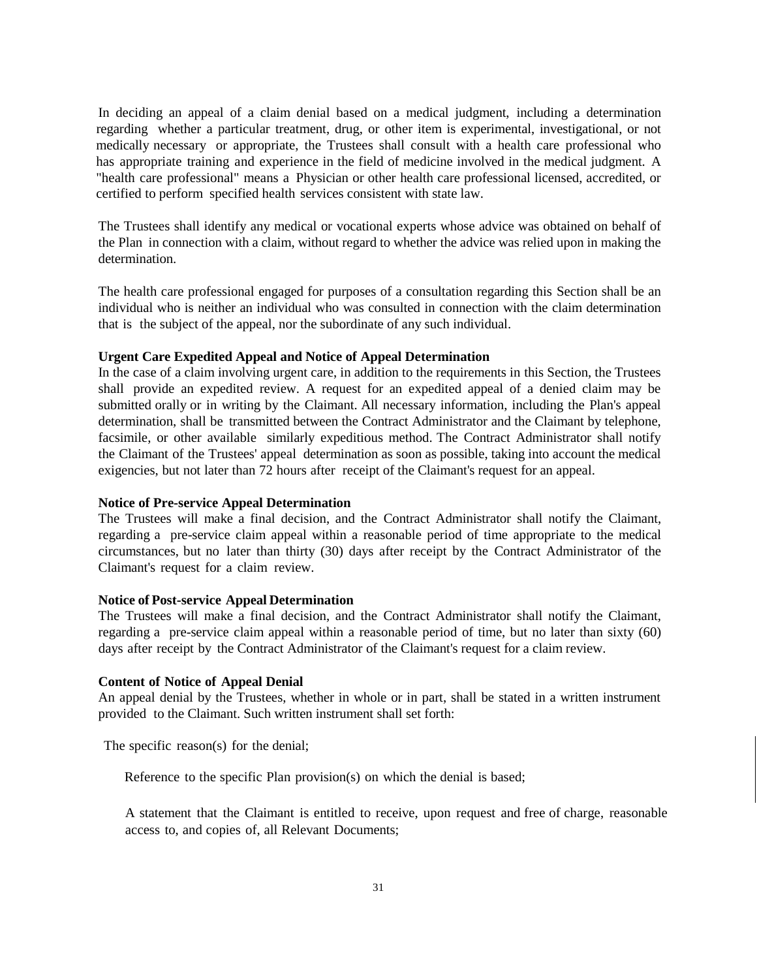In deciding an appeal of a claim denial based on a medical judgment, including a determination regarding whether a particular treatment, drug, or other item is experimental, investigational, or not medically necessary or appropriate, the Trustees shall consult with a health care professional who has appropriate training and experience in the field of medicine involved in the medical judgment. A "health care professional" means a Physician or other health care professional licensed, accredited, or certified to perform specified health services consistent with state law.

The Trustees shall identify any medical or vocational experts whose advice was obtained on behalf of the Plan in connection with a claim, without regard to whether the advice was relied upon in making the determination.

The health care professional engaged for purposes of a consultation regarding this Section shall be an individual who is neither an individual who was consulted in connection with the claim determination that is the subject of the appeal, nor the subordinate of any such individual.

## **Urgent Care Expedited Appeal and Notice of Appeal Determination**

In the case of a claim involving urgent care, in addition to the requirements in this Section, the Trustees shall provide an expedited review. A request for an expedited appeal of a denied claim may be submitted orally or in writing by the Claimant. All necessary information, including the Plan's appeal determination, shall be transmitted between the Contract Administrator and the Claimant by telephone, facsimile, or other available similarly expeditious method. The Contract Administrator shall notify the Claimant of the Trustees' appeal determination as soon as possible, taking into account the medical exigencies, but not later than 72 hours after receipt of the Claimant's request for an appeal.

## **Notice of Pre-service Appeal Determination**

The Trustees will make a final decision, and the Contract Administrator shall notify the Claimant, regarding a pre-service claim appeal within a reasonable period of time appropriate to the medical circumstances, but no later than thirty (30) days after receipt by the Contract Administrator of the Claimant's request for a claim review.

## **Notice of Post-service Appeal Determination**

The Trustees will make a final decision, and the Contract Administrator shall notify the Claimant, regarding a pre-service claim appeal within a reasonable period of time, but no later than sixty (60) days after receipt by the Contract Administrator of the Claimant's request for a claim review.

## **Content of Notice of Appeal Denial**

An appeal denial by the Trustees, whether in whole or in part, shall be stated in a written instrument provided to the Claimant. Such written instrument shall set forth:

The specific reason(s) for the denial;

Reference to the specific Plan provision(s) on which the denial is based;

A statement that the Claimant is entitled to receive, upon request and free of charge, reasonable access to, and copies of, all Relevant Documents;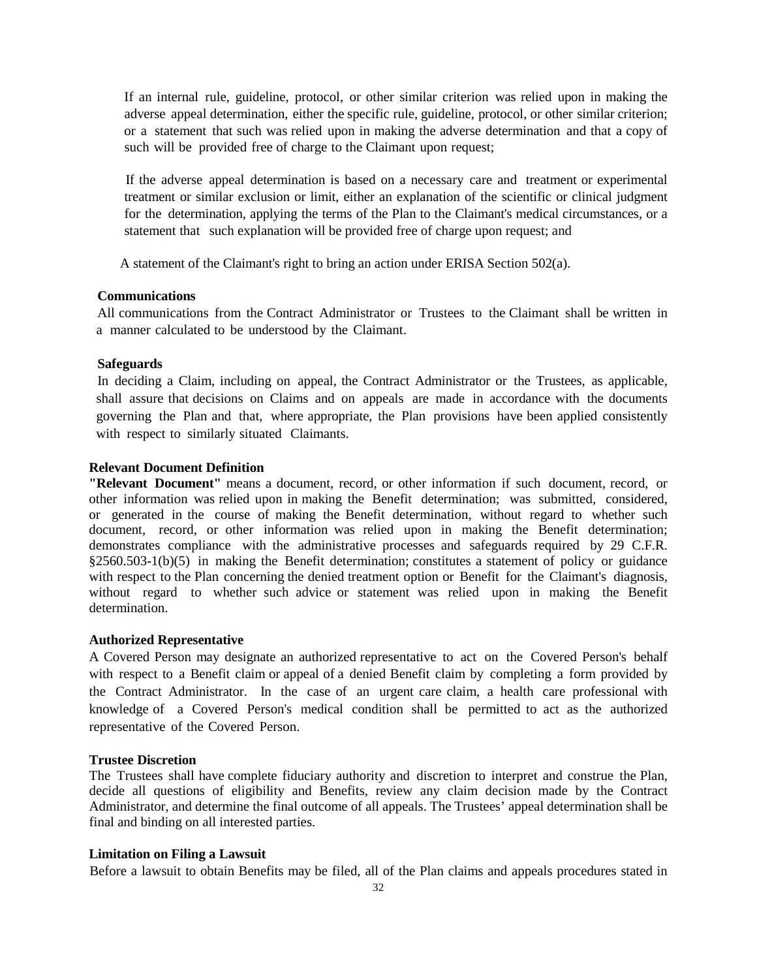If an internal rule, guideline, protocol, or other similar criterion was relied upon in making the adverse appeal determination, either the specific rule, guideline, protocol, or other similar criterion; or a statement that such was relied upon in making the adverse determination and that a copy of such will be provided free of charge to the Claimant upon request;

If the adverse appeal determination is based on a necessary care and treatment or experimental treatment or similar exclusion or limit, either an explanation of the scientific or clinical judgment for the determination, applying the terms of the Plan to the Claimant's medical circumstances, or a statement that such explanation will be provided free of charge upon request; and

A statement of the Claimant's right to bring an action under ERISA Section 502(a).

## **Communications**

All communications from the Contract Administrator or Trustees to the Claimant shall be written in a manner calculated to be understood by the Claimant.

## **Safeguards**

In deciding a Claim, including on appeal, the Contract Administrator or the Trustees, as applicable, shall assure that decisions on Claims and on appeals are made in accordance with the documents governing the Plan and that, where appropriate, the Plan provisions have been applied consistently with respect to similarly situated Claimants.

## **Relevant Document Definition**

**"Relevant Document"** means a document, record, or other information if such document, record, or other information was relied upon in making the Benefit determination; was submitted, considered, or generated in the course of making the Benefit determination, without regard to whether such document, record, or other information was relied upon in making the Benefit determination; demonstrates compliance with the administrative processes and safeguards required by 29 C.F.R. §2560.503-1(b)(5) in making the Benefit determination; constitutes a statement of policy or guidance with respect to the Plan concerning the denied treatment option or Benefit for the Claimant's diagnosis, without regard to whether such advice or statement was relied upon in making the Benefit determination.

## **Authorized Representative**

A Covered Person may designate an authorized representative to act on the Covered Person's behalf with respect to a Benefit claim or appeal of a denied Benefit claim by completing a form provided by the Contract Administrator. In the case of an urgent care claim, a health care professional with knowledge of a Covered Person's medical condition shall be permitted to act as the authorized representative of the Covered Person.

#### **Trustee Discretion**

The Trustees shall have complete fiduciary authority and discretion to interpret and construe the Plan, decide all questions of eligibility and Benefits, review any claim decision made by the Contract Administrator, and determine the final outcome of all appeals. The Trustees' appeal determination shall be final and binding on all interested parties.

## **Limitation on Filing a Lawsuit**

Before a lawsuit to obtain Benefits may be filed, all of the Plan claims and appeals procedures stated in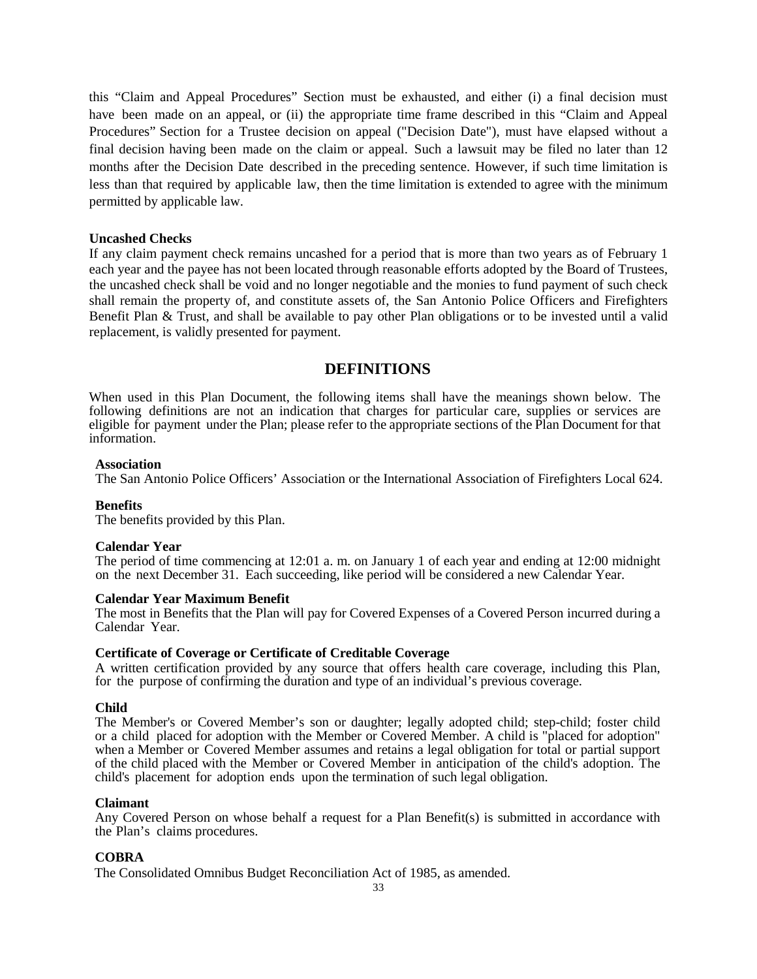this "Claim and Appeal Procedures" Section must be exhausted, and either (i) a final decision must have been made on an appeal, or (ii) the appropriate time frame described in this "Claim and Appeal Procedures" Section for a Trustee decision on appeal ("Decision Date"), must have elapsed without a final decision having been made on the claim or appeal. Such a lawsuit may be filed no later than 12 months after the Decision Date described in the preceding sentence. However, if such time limitation is less than that required by applicable law, then the time limitation is extended to agree with the minimum permitted by applicable law.

## **Uncashed Checks**

If any claim payment check remains uncashed for a period that is more than two years as of February 1 each year and the payee has not been located through reasonable efforts adopted by the Board of Trustees, the uncashed check shall be void and no longer negotiable and the monies to fund payment of such check shall remain the property of, and constitute assets of, the San Antonio Police Officers and Firefighters Benefit Plan & Trust, and shall be available to pay other Plan obligations or to be invested until a valid replacement, is validly presented for payment.

## **DEFINITIONS**

<span id="page-34-0"></span>When used in this Plan Document, the following items shall have the meanings shown below. The following definitions are not an indication that charges for particular care, supplies or services are eligible for payment under the Plan; please refer to the appropriate sections of the Plan Document for that information.

## **Association**

The San Antonio Police Officers' Association or the International Association of Firefighters Local 624.

## **Benefits**

The benefits provided by this Plan.

## **Calendar Year**

The period of time commencing at 12:01 a. m. on January 1 of each year and ending at 12:00 midnight on the next December 31. Each succeeding, like period will be considered a new Calendar Year.

## **Calendar Year Maximum Benefit**

The most in Benefits that the Plan will pay for Covered Expenses of a Covered Person incurred during a Calendar Year.

## **Certificate of Coverage or Certificate of Creditable Coverage**

A written certification provided by any source that offers health care coverage, including this Plan, for the purpose of confirming the duration and type of an individual's previous coverage.

## **Child**

The Member's or Covered Member's son or daughter; legally adopted child; step-child; foster child or a child placed for adoption with the Member or Covered Member. A child is "placed for adoption" when a Member or Covered Member assumes and retains a legal obligation for total or partial support of the child placed with the Member or Covered Member in anticipation of the child's adoption. The child's placement for adoption ends upon the termination of such legal obligation.

## **Claimant**

Any Covered Person on whose behalf a request for a Plan Benefit(s) is submitted in accordance with the Plan's claims procedures.

## **COBRA**

The Consolidated Omnibus Budget Reconciliation Act of 1985, as amended.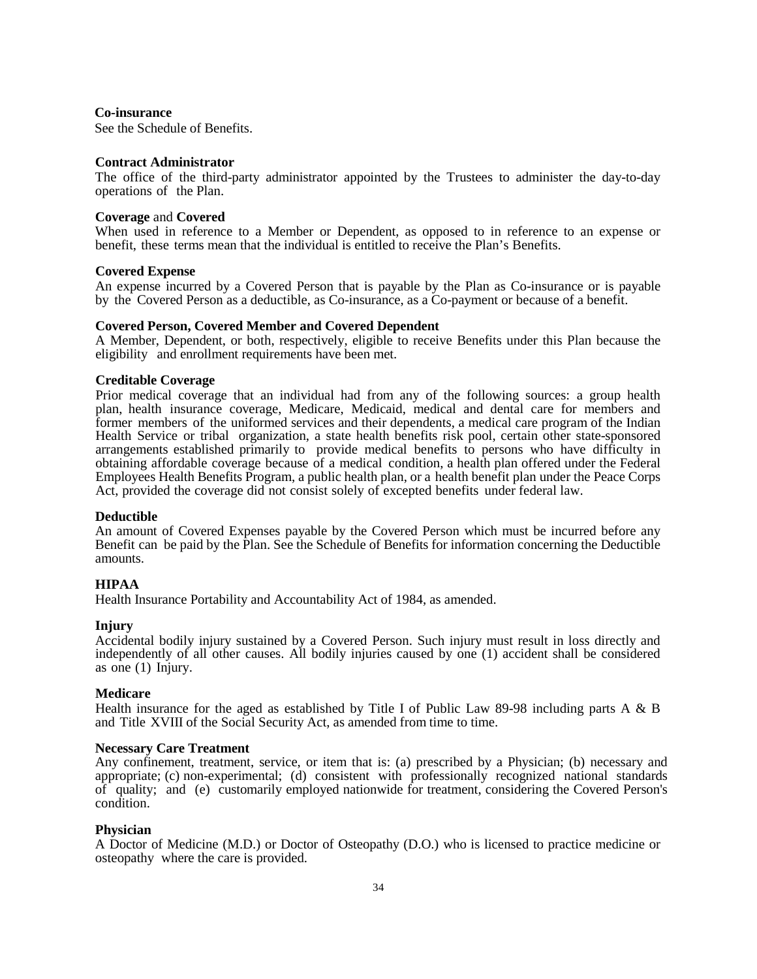## **Co-insurance**

See the Schedule of Benefits.

## **Contract Administrator**

The office of the third-party administrator appointed by the Trustees to administer the day-to-day operations of the Plan.

## **Coverage** and **Covered**

When used in reference to a Member or Dependent, as opposed to in reference to an expense or benefit, these terms mean that the individual is entitled to receive the Plan's Benefits.

## **Covered Expense**

An expense incurred by a Covered Person that is payable by the Plan as Co-insurance or is payable by the Covered Person as a deductible, as Co-insurance, as a Co-payment or because of a benefit.

## **Covered Person, Covered Member and Covered Dependent**

A Member, Dependent, or both, respectively, eligible to receive Benefits under this Plan because the eligibility and enrollment requirements have been met.

## **Creditable Coverage**

Prior medical coverage that an individual had from any of the following sources: a group health plan, health insurance coverage, Medicare, Medicaid, medical and dental care for members and former members of the uniformed services and their dependents, a medical care program of the Indian Health Service or tribal organization, a state health benefits risk pool, certain other state-sponsored arrangements established primarily to provide medical benefits to persons who have difficulty in obtaining affordable coverage because of a medical condition, a health plan offered under the Federal Employees Health Benefits Program, a public health plan, or a health benefit plan under the Peace Corps Act, provided the coverage did not consist solely of excepted benefits under federal law.

## **Deductible**

An amount of Covered Expenses payable by the Covered Person which must be incurred before any Benefit can be paid by the Plan. See the Schedule of Benefits for information concerning the Deductible amounts.

## **HIPAA**

Health Insurance Portability and Accountability Act of 1984, as amended.

## **Injury**

Accidental bodily injury sustained by a Covered Person. Such injury must result in loss directly and independently of all other causes. All bodily injuries caused by one (1) accident shall be considered as one (1) Injury.

## **Medicare**

Health insurance for the aged as established by Title I of Public Law 89-98 including parts A & B and Title XVIII of the Social Security Act, as amended from time to time.

## **Necessary Care Treatment**

Any confinement, treatment, service, or item that is: (a) prescribed by a Physician; (b) necessary and appropriate; (c) non-experimental; (d) consistent with professionally recognized national standards of quality; and (e) customarily employed nationwide for treatment, considering the Covered Person's condition.

## **Physician**

A Doctor of Medicine (M.D.) or Doctor of Osteopathy (D.O.) who is licensed to practice medicine or osteopathy where the care is provided.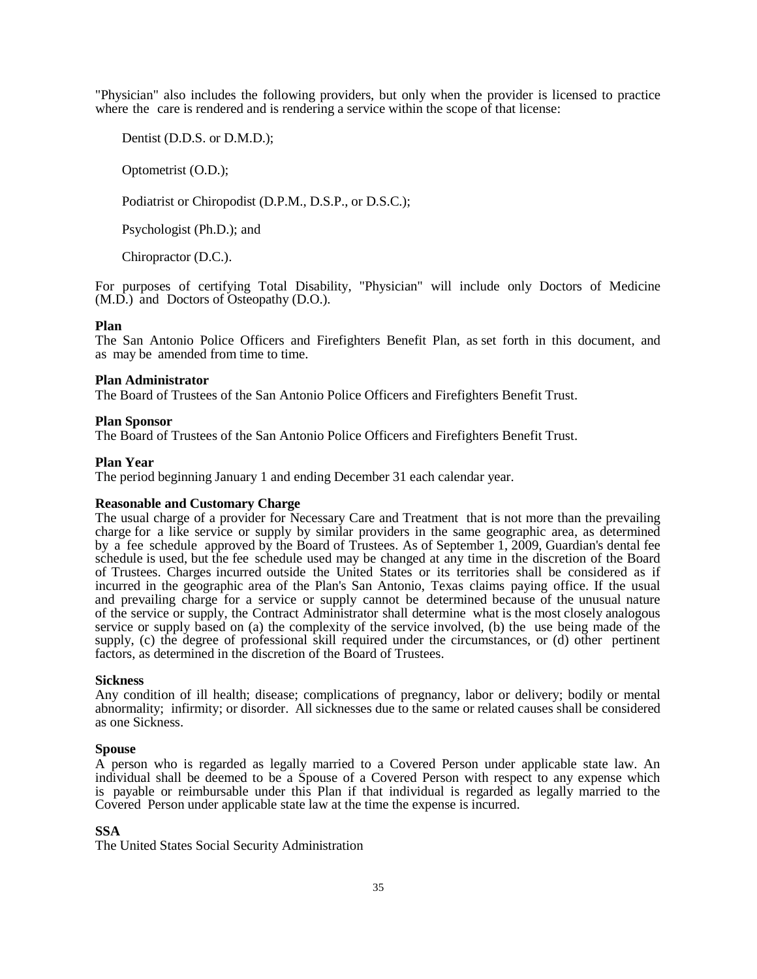"Physician" also includes the following providers, but only when the provider is licensed to practice where the care is rendered and is rendering a service within the scope of that license:

Dentist (D.D.S. or D.M.D.);

Optometrist (O.D.);

Podiatrist or Chiropodist (D.P.M., D.S.P., or D.S.C.);

Psychologist (Ph.D.); and

Chiropractor (D.C.).

For purposes of certifying Total Disability, "Physician" will include only Doctors of Medicine (M.D.) and Doctors of Osteopathy (D.O.).

## **Plan**

The San Antonio Police Officers and Firefighters Benefit Plan, as set forth in this document, and as may be amended from time to time.

## **Plan Administrator**

The Board of Trustees of the San Antonio Police Officers and Firefighters Benefit Trust.

## **Plan Sponsor**

The Board of Trustees of the San Antonio Police Officers and Firefighters Benefit Trust.

## **Plan Year**

The period beginning January 1 and ending December 31 each calendar year.

## **Reasonable and Customary Charge**

The usual charge of a provider for Necessary Care and Treatment that is not more than the prevailing charge for a like service or supply by similar providers in the same geographic area, as determined by a fee schedule approved by the Board of Trustees. As of September 1, 2009, Guardian's dental fee schedule is used, but the fee schedule used may be changed at any time in the discretion of the Board of Trustees. Charges incurred outside the United States or its territories shall be considered as if incurred in the geographic area of the Plan's San Antonio, Texas claims paying office. If the usual and prevailing charge for a service or supply cannot be determined because of the unusual nature of the service or supply, the Contract Administrator shall determine what is the most closely analogous service or supply based on (a) the complexity of the service involved, (b) the use being made of the supply, (c) the degree of professional skill required under the circumstances, or (d) other pertinent factors, as determined in the discretion of the Board of Trustees.

## **Sickness**

Any condition of ill health; disease; complications of pregnancy, labor or delivery; bodily or mental abnormality; infirmity; or disorder. All sicknesses due to the same or related causes shall be considered as one Sickness.

## **Spouse**

A person who is regarded as legally married to a Covered Person under applicable state law. An individual shall be deemed to be a Spouse of a Covered Person with respect to any expense which is payable or reimbursable under this Plan if that individual is regarded as legally married to the Covered Person under applicable state law at the time the expense is incurred.

## **SSA**

The United States Social Security Administration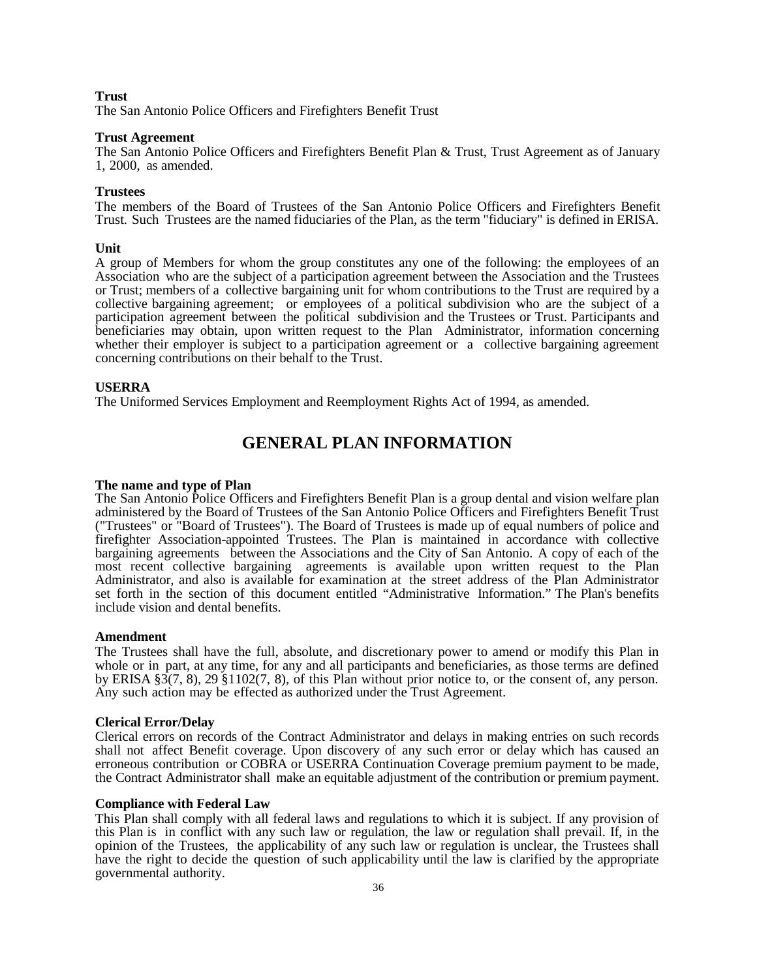## **Trust**

The San Antonio Police Officers and Firefighters Benefit Trust

#### **Trust Agreement**

The San Antonio Police Officers and Firefighters Benefit Plan & Trust, Trust Agreement as of January 1, 2000, as amended.

#### **Trustees**

The members of the Board of Trustees of the San Antonio Police Officers and Firefighters Benefit Trust. Such Trustees are the named fiduciaries of the Plan, as the term "fiduciary" is defined in ERISA.

#### **Unit**

A group of Members for whom the group constitutes any one of the following: the employees of an Association who are the subject of a participation agreement between the Association and the Trustees or Trust; members of a collective bargaining unit for whom contributions to the Trust are required by a collective bargaining agreement; or employees of a political subdivision who are the subject of a participation agreement between the political subdivision and the Trustees or Trust. Participants and beneficiaries may obtain, upon written request to the Plan Administrator, information concerning whether their employer is subject to a participation agreement or a collective bargaining agreement concerning contributions on their behalf to the Trust.

## **USERRA**

The Uniformed Services Employment and Reemployment Rights Act of 1994, as amended.

## **GENERAL PLAN INFORMATION**

#### **The name and type of Plan**

The San Antonio Police Officers and Firefighters Benefit Plan is a group dental and vision welfare plan administered by the Board of Trustees of the San Antonio Police Officers and Firefighters Benefit Trust ("Trustees" or "Board of Trustees"). The Board of Trustees is made up of equal numbers of police and firefighter Association-appointed Trustees. The Plan is maintained in accordance with collective bargaining agreements between the Associations and the City of San Antonio. A copy of each of the most recent collective bargaining agreements is available upon written request to the Plan Administrator, and also is available for examination at the street address of the Plan Administrator set forth in the section of this document entitled "Administrative Information." The Plan's benefits include vision and dental benefits.

#### **Amendment**

The Trustees shall have the full, absolute, and discretionary power to amend or modify this Plan in whole or in part, at any time, for any and all participants and beneficiaries, as those terms are defined by ERISA §3(7, 8), 29 §1102(7, 8), of this Plan without prior notice to, or the consent of, any person. Any such action may be effected as authorized under the Trust Agreement.

## **Clerical Error/Delay**

Clerical errors on records of the Contract Administrator and delays in making entries on such records shall not affect Benefit coverage. Upon discovery of any such error or delay which has caused an erroneous contribution or COBRA or USERRA Continuation Coverage premium payment to be made, the Contract Administrator shall make an equitable adjustment of the contribution or premium payment.

#### **Compliance with Federal Law**

This Plan shall comply with all federal laws and regulations to which it is subject. If any provision of this Plan is in conflict with any such law or regulation, the law or regulation shall prevail. If, in the opinion of the Trustees, the applicability of any such law or regulation is unclear, the Trustees shall have the right to decide the question of such applicability until the law is clarified by the appropriate governmental authority.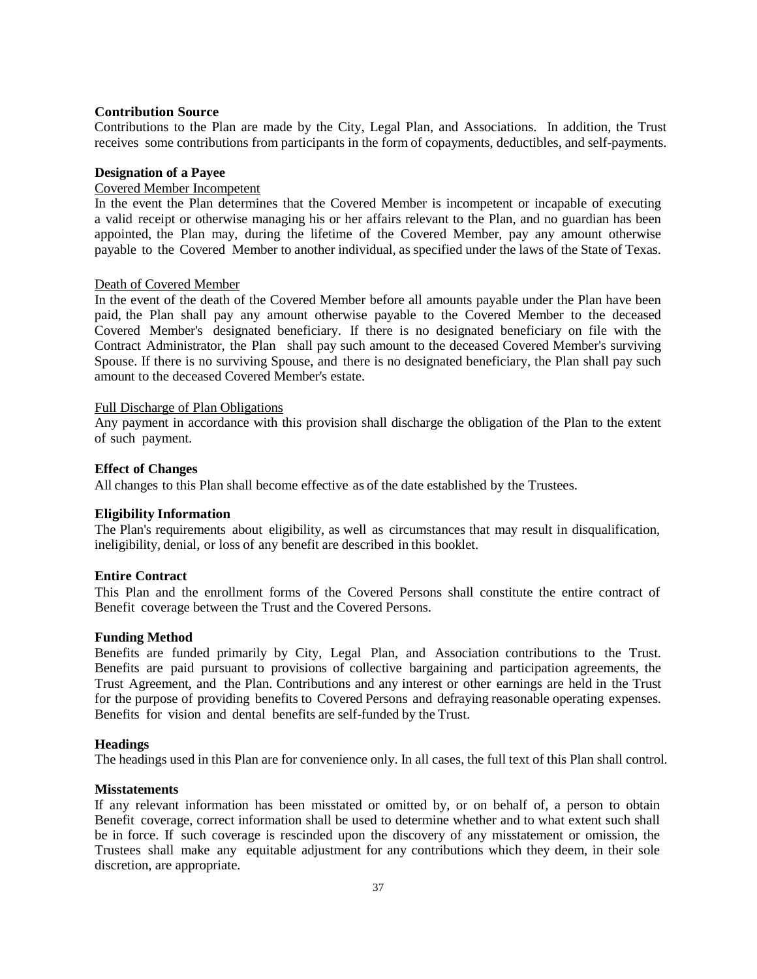## **Contribution Source**

Contributions to the Plan are made by the City, Legal Plan, and Associations. In addition, the Trust receives some contributions from participants in the form of copayments, deductibles, and self-payments.

## **Designation of a Payee**

## Covered Member Incompetent

In the event the Plan determines that the Covered Member is incompetent or incapable of executing a valid receipt or otherwise managing his or her affairs relevant to the Plan, and no guardian has been appointed, the Plan may, during the lifetime of the Covered Member, pay any amount otherwise payable to the Covered Member to another individual, as specified under the laws of the State of Texas.

## Death of Covered Member

In the event of the death of the Covered Member before all amounts payable under the Plan have been paid, the Plan shall pay any amount otherwise payable to the Covered Member to the deceased Covered Member's designated beneficiary. If there is no designated beneficiary on file with the Contract Administrator, the Plan shall pay such amount to the deceased Covered Member's surviving Spouse. If there is no surviving Spouse, and there is no designated beneficiary, the Plan shall pay such amount to the deceased Covered Member's estate.

## Full Discharge of Plan Obligations

Any payment in accordance with this provision shall discharge the obligation of the Plan to the extent of such payment.

## **Effect of Changes**

All changes to this Plan shall become effective as of the date established by the Trustees.

## **Eligibility Information**

The Plan's requirements about eligibility, as well as circumstances that may result in disqualification, ineligibility, denial, or loss of any benefit are described in this booklet.

## **Entire Contract**

This Plan and the enrollment forms of the Covered Persons shall constitute the entire contract of Benefit coverage between the Trust and the Covered Persons.

## **Funding Method**

Benefits are funded primarily by City, Legal Plan, and Association contributions to the Trust. Benefits are paid pursuant to provisions of collective bargaining and participation agreements, the Trust Agreement, and the Plan. Contributions and any interest or other earnings are held in the Trust for the purpose of providing benefits to Covered Persons and defraying reasonable operating expenses. Benefits for vision and dental benefits are self-funded by the Trust.

## **Headings**

The headings used in this Plan are for convenience only. In all cases, the full text of this Plan shall control.

## **Misstatements**

If any relevant information has been misstated or omitted by, or on behalf of, a person to obtain Benefit coverage, correct information shall be used to determine whether and to what extent such shall be in force. If such coverage is rescinded upon the discovery of any misstatement or omission, the Trustees shall make any equitable adjustment for any contributions which they deem, in their sole discretion, are appropriate.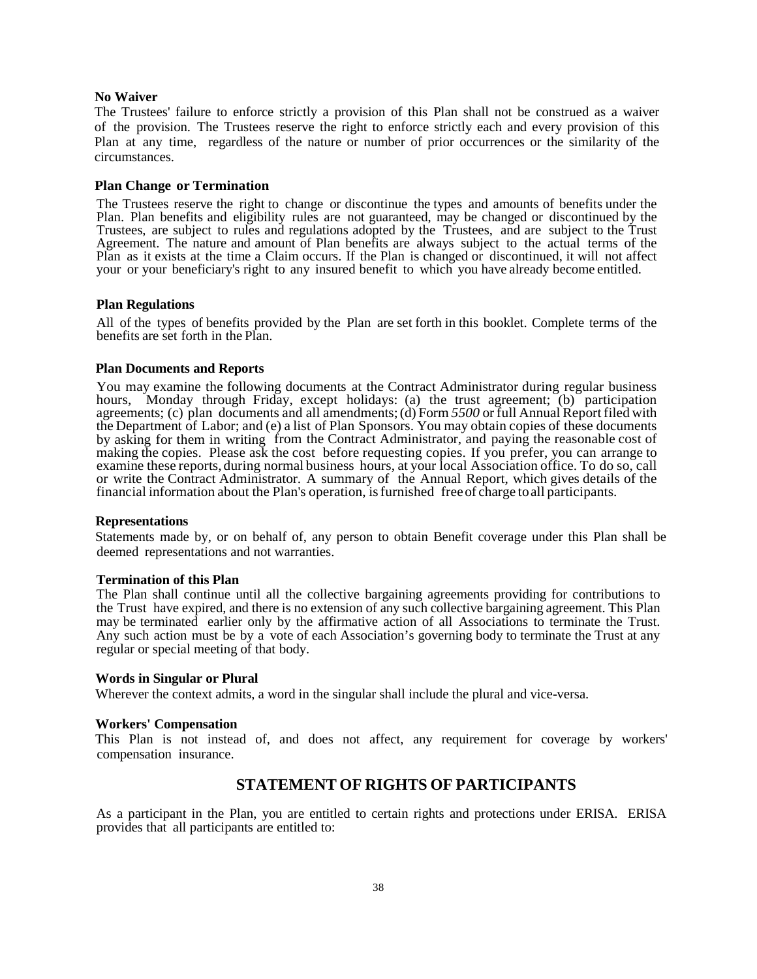## **No Waiver**

The Trustees' failure to enforce strictly a provision of this Plan shall not be construed as a waiver of the provision. The Trustees reserve the right to enforce strictly each and every provision of this Plan at any time, regardless of the nature or number of prior occurrences or the similarity of the circumstances.

#### **Plan Change or Termination**

The Trustees reserve the right to change or discontinue the types and amounts of benefits under the Plan. Plan benefits and eligibility rules are not guaranteed, may be changed or discontinued by the Trustees, are subject to rules and regulations adopted by the Trustees, and are subject to the Trust Agreement. The nature and amount of Plan benefits are always subject to the actual terms of the Plan as it exists at the time a Claim occurs. If the Plan is changed or discontinued, it will not affect your or your beneficiary's right to any insured benefit to which you have already become entitled.

## **Plan Regulations**

All of the types of benefits provided by the Plan are set forth in this booklet. Complete terms of the benefits are set forth in the Plan.

#### **Plan Documents and Reports**

You may examine the following documents at the Contract Administrator during regular business hours, Monday through Friday, except holidays: (a) the trust agreement; (b) participation agreements; (c) plan documents and all amendments;(d) Form *5500* or full Annual Report filed with the Department of Labor; and (e) a list of Plan Sponsors. You may obtain copies of these documents by asking for them in writing from the Contract Administrator, and paying the reasonable cost of making the copies. Please ask the cost before requesting copies. If you prefer, you can arrange to examine these reports, during normal business hours, at your local Association office. To do so, call or write the Contract Administrator. A summary of the Annual Report, which gives details of the financial information about the Plan's operation, isfurnished freeof charge toall participants.

#### **Representations**

Statements made by, or on behalf of, any person to obtain Benefit coverage under this Plan shall be deemed representations and not warranties.

#### **Termination of this Plan**

The Plan shall continue until all the collective bargaining agreements providing for contributions to the Trust have expired, and there is no extension of any such collective bargaining agreement. This Plan may be terminated earlier only by the affirmative action of all Associations to terminate the Trust. Any such action must be by a vote of each Association's governing body to terminate the Trust at any regular or special meeting of that body.

## **Words in Singular or Plural**

Wherever the context admits, a word in the singular shall include the plural and vice-versa.

#### **Workers' Compensation**

This Plan is not instead of, and does not affect, any requirement for coverage by workers' compensation insurance.

## **STATEMENT OF RIGHTS OF PARTICIPANTS**

<span id="page-39-0"></span>As a participant in the Plan, you are entitled to certain rights and protections under ERISA. ERISA provides that all participants are entitled to: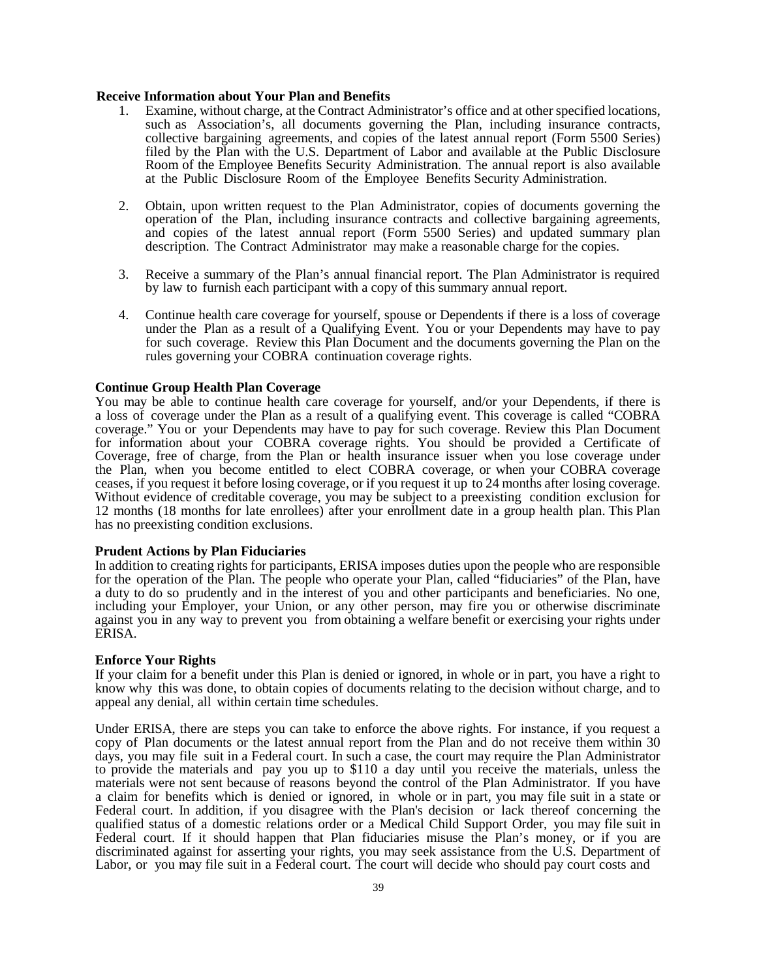## **Receive Information about Your Plan and Benefits**

- 1. Examine, without charge, at the Contract Administrator's office and at other specified locations, such as Association's, all documents governing the Plan, including insurance contracts, collective bargaining agreements, and copies of the latest annual report (Form 5500 Series) filed by the Plan with the U.S. Department of Labor and available at the Public Disclosure Room of the Employee Benefits Security Administration. The annual report is also available at the Public Disclosure Room of the Employee Benefits Security Administration.
- 2. Obtain, upon written request to the Plan Administrator, copies of documents governing the operation of the Plan, including insurance contracts and collective bargaining agreements, and copies of the latest annual report (Form 5500 Series) and updated summary plan description. The Contract Administrator may make a reasonable charge for the copies.
- 3. Receive a summary of the Plan's annual financial report. The Plan Administrator is required by law to furnish each participant with a copy of this summary annual report.
- 4. Continue health care coverage for yourself, spouse or Dependents if there is a loss of coverage under the Plan as a result of a Qualifying Event. You or your Dependents may have to pay for such coverage. Review this Plan Document and the documents governing the Plan on the rules governing your COBRA continuation coverage rights.

## **Continue Group Health Plan Coverage**

You may be able to continue health care coverage for yourself, and/or your Dependents, if there is a loss of coverage under the Plan as a result of a qualifying event. This coverage is called "COBRA coverage." You or your Dependents may have to pay for such coverage. Review this Plan Document for information about your COBRA coverage rights. You should be provided a Certificate of Coverage, free of charge, from the Plan or health insurance issuer when you lose coverage under the Plan, when you become entitled to elect COBRA coverage, or when your COBRA coverage ceases, if you request it before losing coverage, or if you request it up to 24 months after losing coverage. Without evidence of creditable coverage, you may be subject to a preexisting condition exclusion for 12 months (18 months for late enrollees) after your enrollment date in a group health plan. This Plan has no preexisting condition exclusions.

## **Prudent Actions by Plan Fiduciaries**

In addition to creating rights for participants, ERISA imposes duties upon the people who are responsible for the operation of the Plan. The people who operate your Plan, called "fiduciaries" of the Plan, have a duty to do so prudently and in the interest of you and other participants and beneficiaries. No one, including your Employer, your Union, or any other person, may fire you or otherwise discriminate against you in any way to prevent you from obtaining a welfare benefit or exercising your rights under ERISA.

## **Enforce Your Rights**

If your claim for a benefit under this Plan is denied or ignored, in whole or in part, you have a right to know why this was done, to obtain copies of documents relating to the decision without charge, and to appeal any denial, all within certain time schedules.

Under ERISA, there are steps you can take to enforce the above rights. For instance, if you request a copy of Plan documents or the latest annual report from the Plan and do not receive them within 30 days, you may file suit in a Federal court. In such a case, the court may require the Plan Administrator to provide the materials and pay you up to \$110 a day until you receive the materials, unless the materials were not sent because of reasons beyond the control of the Plan Administrator. If you have a claim for benefits which is denied or ignored, in whole or in part, you may file suit in a state or Federal court. In addition, if you disagree with the Plan's decision or lack thereof concerning the qualified status of a domestic relations order or a Medical Child Support Order, you may file suit in Federal court. If it should happen that Plan fiduciaries misuse the Plan's money, or if you are discriminated against for asserting your rights, you may seek assistance from the U.S. Department of Labor, or you may file suit in a Federal court. The court will decide who should pay court costs and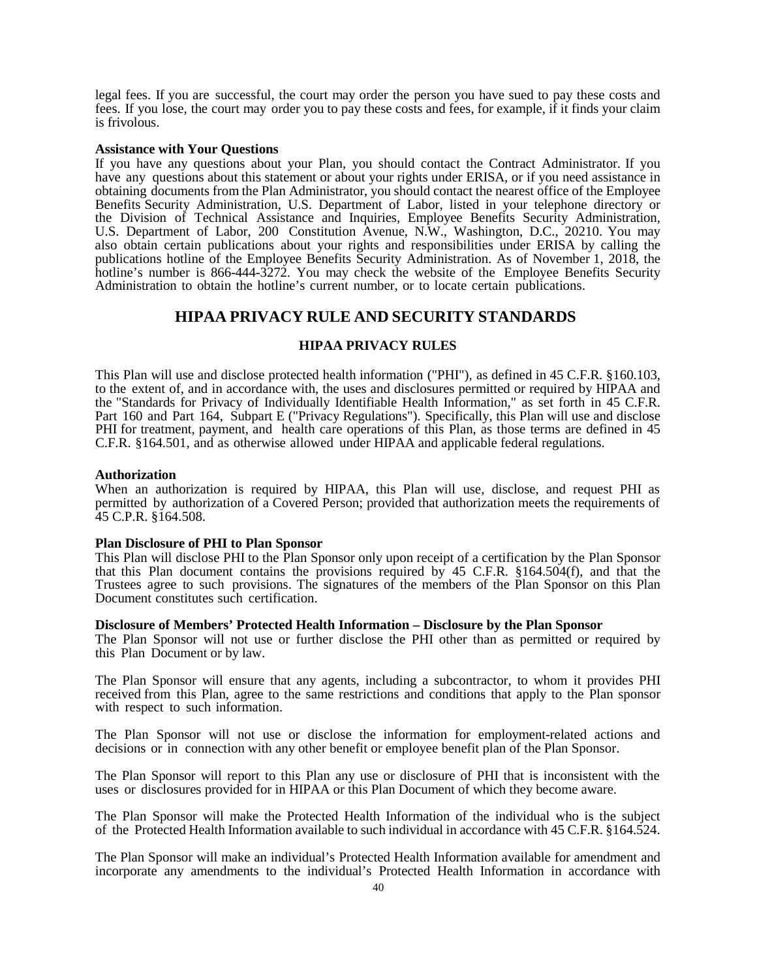legal fees. If you are successful, the court may order the person you have sued to pay these costs and fees. If you lose, the court may order you to pay these costs and fees, for example, if it finds your claim is frivolous.

## **Assistance with Your Questions**

If you have any questions about your Plan, you should contact the Contract Administrator. If you have any questions about this statement or about your rights under ERISA, or if you need assistance in obtaining documents from the Plan Administrator, you should contact the nearest office of the Employee Benefits Security Administration, U.S. Department of Labor, listed in your telephone directory or the Division of Technical Assistance and Inquiries, Employee Benefits Security Administration, U.S. Department of Labor, 200 Constitution Avenue, N.W., Washington, D.C., 20210. You may also obtain certain publications about your rights and responsibilities under ERISA by calling the publications hotline of the Employee Benefits Security Administration. As of November 1, 2018, the hotline's number is 866-444-3272. You may check the website of the Employee Benefits Security Administration to obtain the hotline's current number, or to locate certain publications.

## **HIPAA PRIVACY RULE AND SECURITY STANDARDS**

## **HIPAA PRIVACY RULES**

<span id="page-41-0"></span>This Plan will use and disclose protected health information ("PHI"), as defined in 45 C.F.R. §160.103, to the extent of, and in accordance with, the uses and disclosures permitted or required by HIPAA and the "Standards for Privacy of Individually Identifiable Health Information," as set forth in 45 C.F.R. Part 160 and Part 164, Subpart E ("Privacy Regulations"). Specifically, this Plan will use and disclose PHI for treatment, payment, and health care operations of this Plan, as those terms are defined in 45 C.F.R. §164.501, and as otherwise allowed under HIPAA and applicable federal regulations.

#### **Authorization**

When an authorization is required by HIPAA, this Plan will use, disclose, and request PHI as permitted by authorization of a Covered Person; provided that authorization meets the requirements of 45 C.P.R. §164.508.

#### **Plan Disclosure of PHI to Plan Sponsor**

This Plan will disclose PHI to the Plan Sponsor only upon receipt of a certification by the Plan Sponsor that this Plan document contains the provisions required by 45 C.F.R. §164.504(f), and that the Trustees agree to such provisions. The signatures of the members of the Plan Sponsor on this Plan Document constitutes such certification.

#### **Disclosure of Members' Protected Health Information – Disclosure by the Plan Sponsor**

The Plan Sponsor will not use or further disclose the PHI other than as permitted or required by this Plan Document or by law.

The Plan Sponsor will ensure that any agents, including a subcontractor, to whom it provides PHI received from this Plan, agree to the same restrictions and conditions that apply to the Plan sponsor with respect to such information.

The Plan Sponsor will not use or disclose the information for employment-related actions and decisions or in connection with any other benefit or employee benefit plan of the Plan Sponsor.

The Plan Sponsor will report to this Plan any use or disclosure of PHI that is inconsistent with the uses or disclosures provided for in HIPAA or this Plan Document of which they become aware.

The Plan Sponsor will make the Protected Health Information of the individual who is the subject of the Protected Health Information available to such individual in accordance with 45 C.F.R. §164.524.

The Plan Sponsor will make an individual's Protected Health Information available for amendment and incorporate any amendments to the individual's Protected Health Information in accordance with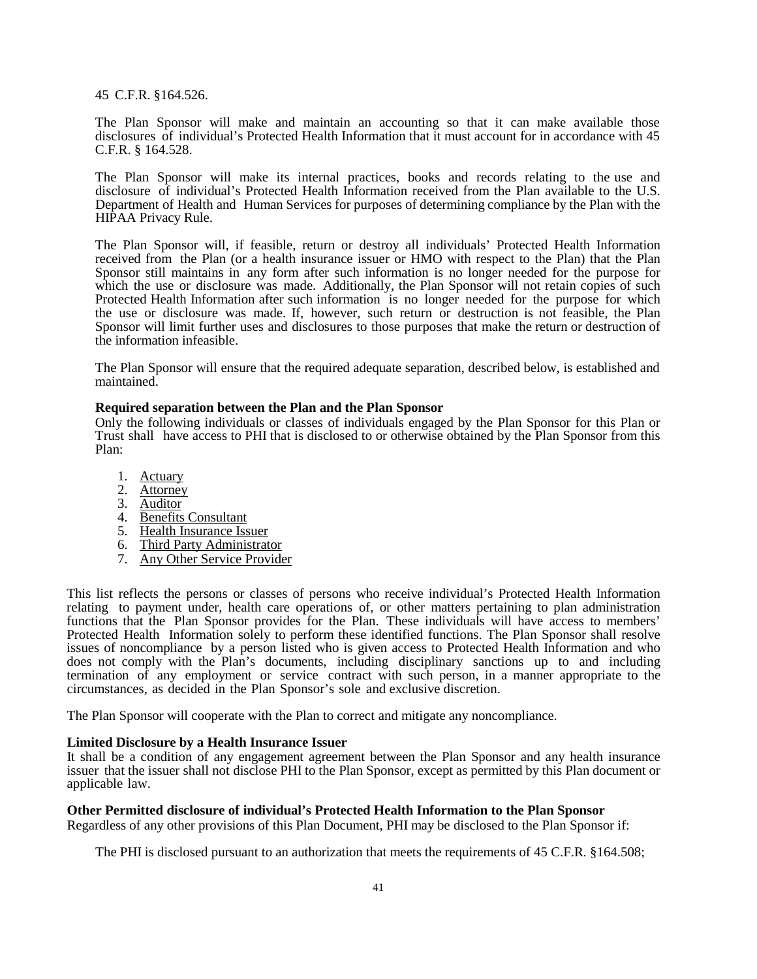45 C.F.R. §164.526.

The Plan Sponsor will make and maintain an accounting so that it can make available those disclosures of individual's Protected Health Information that it must account for in accordance with 45 C.F.R. § 164.528.

The Plan Sponsor will make its internal practices, books and records relating to the use and disclosure of individual's Protected Health Information received from the Plan available to the U.S. Department of Health and Human Services for purposes of determining compliance by the Plan with the HIPAA Privacy Rule.

The Plan Sponsor will, if feasible, return or destroy all individuals' Protected Health Information received from the Plan (or a health insurance issuer or HMO with respect to the Plan) that the Plan Sponsor still maintains in any form after such information is no longer needed for the purpose for which the use or disclosure was made. Additionally, the Plan Sponsor will not retain copies of such Protected Health Information after such information is no longer needed for the purpose for which the use or disclosure was made. If, however, such return or destruction is not feasible, the Plan Sponsor will limit further uses and disclosures to those purposes that make the return or destruction of the information infeasible.

The Plan Sponsor will ensure that the required adequate separation, described below, is established and maintained.

## **Required separation between the Plan and the Plan Sponsor**

Only the following individuals or classes of individuals engaged by the Plan Sponsor for this Plan or Trust shall have access to PHI that is disclosed to or otherwise obtained by the Plan Sponsor from this Plan:

- 1. Actuary
- 2. Attorney
- 3. Auditor
- 4. Benefits Consultant
- 5. Health Insurance Issuer
- 6. Third Party Administrator
- 7. Any Other Service Provider

This list reflects the persons or classes of persons who receive individual's Protected Health Information relating to payment under, health care operations of, or other matters pertaining to plan administration functions that the Plan Sponsor provides for the Plan. These individuals will have access to members' Protected Health Information solely to perform these identified functions. The Plan Sponsor shall resolve issues of noncompliance by a person listed who is given access to Protected Health Information and who does not comply with the Plan's documents, including disciplinary sanctions up to and including termination of any employment or service contract with such person, in a manner appropriate to the circumstances, as decided in the Plan Sponsor's sole and exclusive discretion.

The Plan Sponsor will cooperate with the Plan to correct and mitigate any noncompliance.

## **Limited Disclosure by a Health Insurance Issuer**

It shall be a condition of any engagement agreement between the Plan Sponsor and any health insurance issuer that the issuer shall not disclose PHI to the Plan Sponsor, except as permitted by this Plan document or applicable law.

## **Other Permitted disclosure of individual's Protected Health Information to the Plan Sponsor**

Regardless of any other provisions of this Plan Document, PHI may be disclosed to the Plan Sponsor if:

The PHI is disclosed pursuant to an authorization that meets the requirements of 45 C.F.R. §164.508;